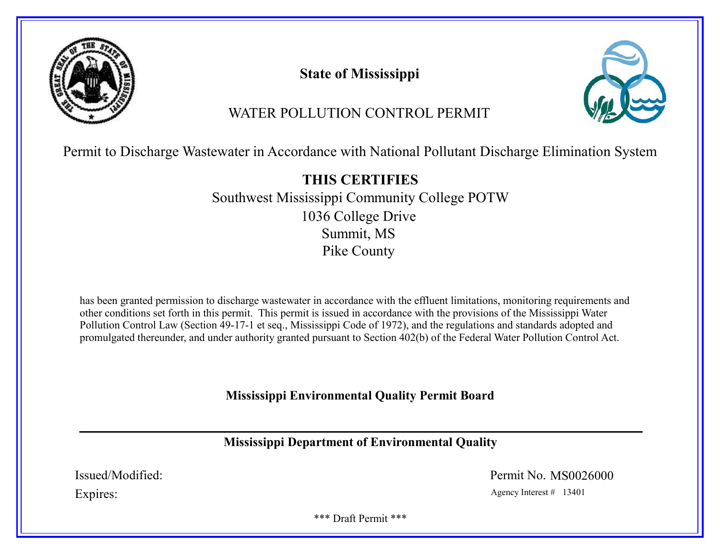

State of Mississippi



# WATER POLLUTION CONTROL PERMIT

Permit to Discharge Wastewater in Accordance with National Pollutant Discharge Elimination System

THIS CERTIFIES Southwest Mississippi Community College POTW 1036 College Drive Summit, MS Pike County

has been granted permission to discharge wastewater in accordance with the effluent limitations, monitoring requirements and other conditions set forth in this permit. This permit is issued in accordance with the provisions of the Mississippi Water Pollution Control Law (Section 49-17-1 et seq., Mississippi Code of 1972), and the regulations and standards adopted and promulgated thereunder, and under authority granted pursuant to Section 402(b) of the Federal Water Pollution Control Act.

Mississippi Environmental Quality Permit Board

Mississippi Department of Environmental Quality

Issued/Modified: Permit No. MS0026000

Expires: Agency Interest # 13401

\*\*\* Draft Permit \*\*\*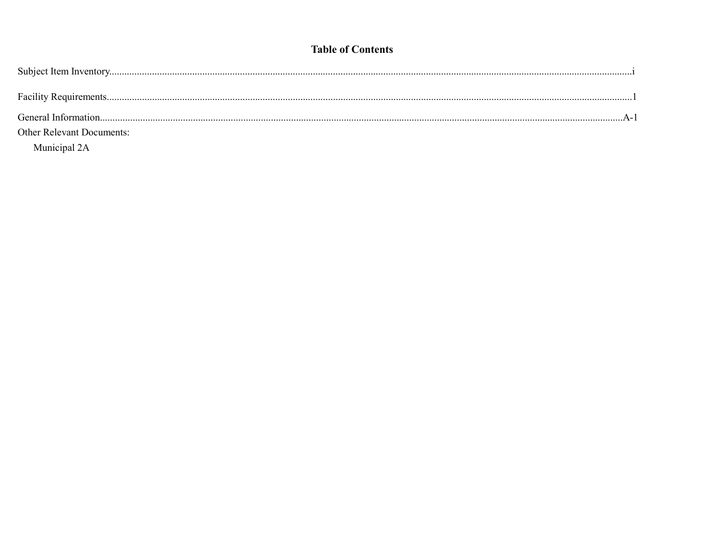# **Table of Contents**

| <b>Other Relevant Documents:</b>                                         |  |
|--------------------------------------------------------------------------|--|
| $\mathbf{r}$ , $\mathbf{r}$ , $\mathbf{r}$ , $\mathbf{r}$ , $\mathbf{r}$ |  |

Municipal 2A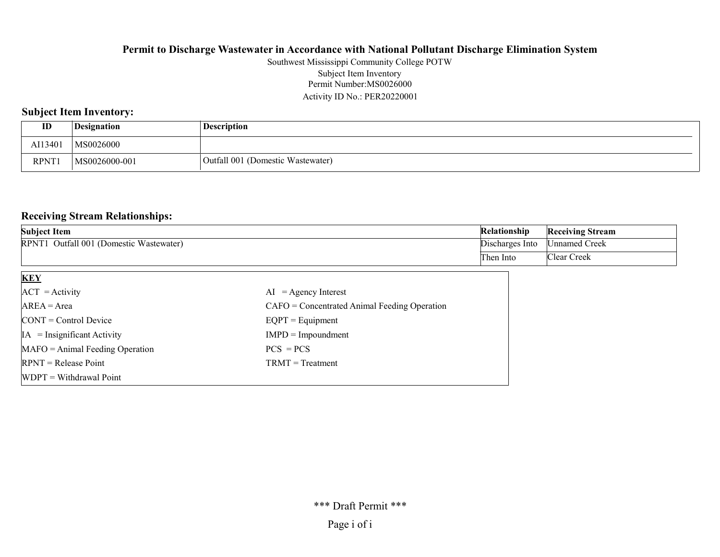#### Permit Number:MS0026000 Activity ID No.: PER20220001 Southwest Mississippi Community College POTW Subject Item Inventory

### Subject Item Inventory:

| ID          | Designation   | <b>Description</b>                |
|-------------|---------------|-----------------------------------|
| AI1340      | MS0026000     |                                   |
| <b>RPNT</b> | MS0026000-001 | Outfall 001 (Domestic Wastewater) |

### Receiving Stream Relationships:

| <b>Subject Item</b>                                    | Relationship    | <b>Receiving Stream</b> |
|--------------------------------------------------------|-----------------|-------------------------|
| Outfall 001 (Domestic Wastewater)<br>RPNT <sub>1</sub> | Discharges Into | ∣Unnamed Creek          |
|                                                        | I`hen Into      | 'Clear Creek            |

| <b>KEY</b>                            |                                                |
|---------------------------------------|------------------------------------------------|
| $ACT = Activity$                      | $AI = Agency Interest$                         |
| $AREA = Area$                         | $CAFO =$ Concentrated Animal Feeding Operation |
| $\text{CONT} = \text{Control Device}$ | $EQPT = Equipment$                             |
| $IA = Insignificant Activity$         | $IMPD = Impoundment$                           |
| $MAFO = Animal Feeding Operation$     | $PCS = PCs$                                    |
| $RPNT = Release Point$                | $TRMT = Treatment$                             |
| $WDPT = Without$ Withdrawal Point     |                                                |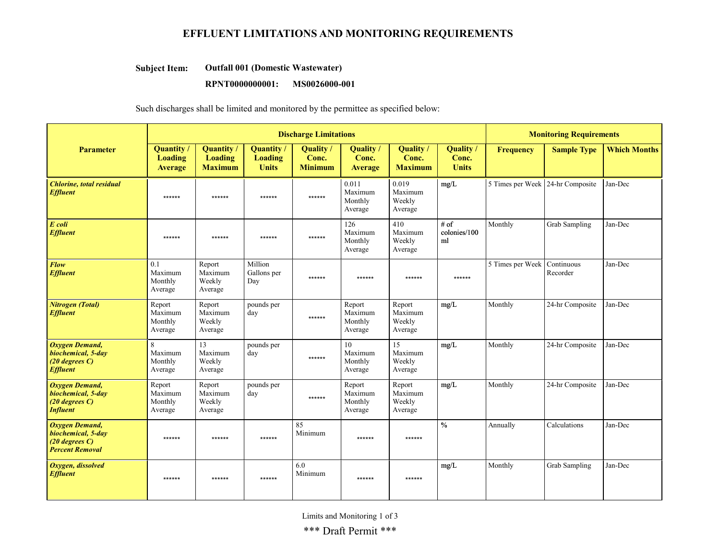# EFFLUENT LIMITATIONS AND MONITORING REQUIREMENTS

#### Outfall 001 (Domestic Wastewater) Subject Item:

#### RPNT0000000001: MS0026000-001

Such discharges shall be limited and monitored by the permittee as specified below:

|                                                                                              | <b>Discharge Limitations</b>                          |                                                       |                                                     |                                      |                                           |                                           |                                    | <b>Monitoring Requirements</b>   |                        |                     |
|----------------------------------------------------------------------------------------------|-------------------------------------------------------|-------------------------------------------------------|-----------------------------------------------------|--------------------------------------|-------------------------------------------|-------------------------------------------|------------------------------------|----------------------------------|------------------------|---------------------|
| <b>Parameter</b>                                                                             | <b>Quantity</b> /<br><b>Loading</b><br><b>Average</b> | <b>Quantity</b> /<br><b>Loading</b><br><b>Maximum</b> | <b>Quantity</b> /<br><b>Loading</b><br><b>Units</b> | Quality /<br>Conc.<br><b>Minimum</b> | <b>Quality</b><br>Conc.<br><b>Average</b> | <b>Quality</b><br>Conc.<br><b>Maximum</b> | Quality /<br>Conc.<br><b>Units</b> | <b>Frequency</b>                 | <b>Sample Type</b>     | <b>Which Months</b> |
| <b>Chlorine</b> , total residual<br><b>Effluent</b>                                          | ******                                                | ******                                                | ******                                              | ******                               | 0.011<br>Maximum<br>Monthly<br>Average    | 0.019<br>Maximum<br>Weekly<br>Average     | mg/L                               | 5 Times per Week 24-hr Composite |                        | Jan-Dec             |
| E coli<br><b>Effluent</b>                                                                    | ******                                                | ******                                                | ******                                              | ******                               | 126<br>Maximum<br>Monthly<br>Average      | 410<br>Maximum<br>Weekly<br>Average       | $#$ of<br>colonies/100<br>ml       | Monthly                          | Grab Sampling          | Jan-Dec             |
| <b>Flow</b><br><b>Effluent</b>                                                               | 0.1<br>Maximum<br>Monthly<br>Average                  | Report<br>Maximum<br>Weekly<br>Average                | Million<br>Gallons per<br>Day                       | ******                               | ******                                    | ******                                    | ******                             | 5 Times per Week                 | Continuous<br>Recorder | Jan-Dec             |
| Nitrogen (Total)<br><b>Effluent</b>                                                          | Report<br>Maximum<br>Monthly<br>Average               | Report<br>Maximum<br>Weekly<br>Average                | pounds per<br>day                                   | ******                               | Report<br>Maximum<br>Monthly<br>Average   | Report<br>Maximum<br>Weekly<br>Average    | mg/L                               | Monthly                          | 24-hr Composite        | Jan-Dec             |
| <b>Oxygen Demand,</b><br>biochemical, 5-day<br>$(20$ degrees $C$ )<br><b>Effluent</b>        | 8<br>Maximum<br>Monthly<br>Average                    | 13<br>Maximum<br>Weekly<br>Average                    | pounds per<br>day                                   | ******                               | 10<br>Maximum<br>Monthly<br>Average       | 15<br>Maximum<br>Weekly<br>Average        | mg/L                               | Monthly                          | 24-hr Composite        | Jan-Dec             |
| <b>Oxygen Demand,</b><br>biochemical, 5-day<br>$(20$ degrees $C$ )<br><b>Influent</b>        | Report<br>Maximum<br>Monthly<br>Average               | Report<br>Maximum<br>Weekly<br>Average                | pounds per<br>day                                   | ******                               | Report<br>Maximum<br>Monthly<br>Average   | Report<br>Maximum<br>Weekly<br>Average    | mg/L                               | Monthly                          | 24-hr Composite        | Jan-Dec             |
| <b>Oxygen Demand,</b><br>biochemical, 5-day<br>$(20$ degrees $C$ )<br><b>Percent Removal</b> | ******                                                | ******                                                | ******                                              | 85<br>Minimum                        | ******                                    | ******                                    | $\frac{0}{0}$                      | Annually                         | Calculations           | Jan-Dec             |
| Oxygen, dissolved<br><b>Effluent</b>                                                         | ******                                                | ******                                                | ******                                              | 6.0<br>Minimum                       | ******                                    | ******                                    | mg/L                               | Monthly                          | Grab Sampling          | Jan-Dec             |

Limits and Monitoring 1 of 3

\*\*\* Draft Permit \*\*\*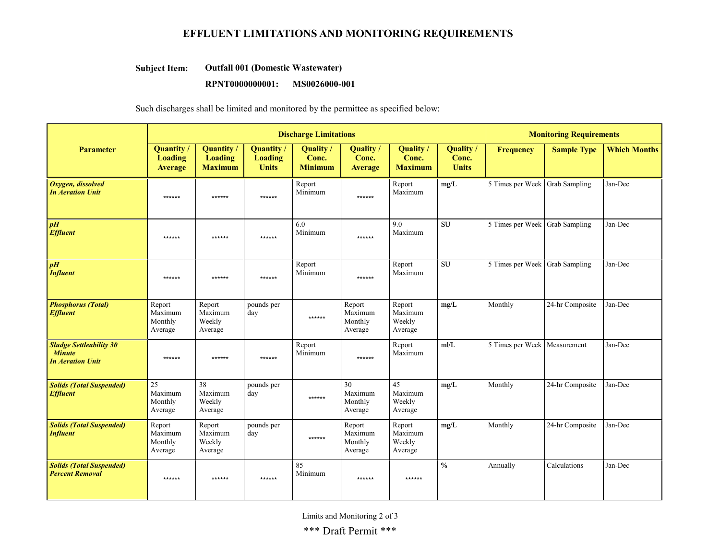# EFFLUENT LIMITATIONS AND MONITORING REQUIREMENTS

#### Outfall 001 (Domestic Wastewater) Subject Item:

#### RPNT0000000001: MS0026000-001

Such discharges shall be limited and monitored by the permittee as specified below:

|                                                                            | <b>Discharge Limitations</b>                 |                                                |                                              |                                      |                                         |                                        |                                    | <b>Monitoring Requirements</b> |                    |                     |  |
|----------------------------------------------------------------------------|----------------------------------------------|------------------------------------------------|----------------------------------------------|--------------------------------------|-----------------------------------------|----------------------------------------|------------------------------------|--------------------------------|--------------------|---------------------|--|
| <b>Parameter</b>                                                           | <b>Quantity</b><br>Loading<br><b>Average</b> | <b>Quantity</b> /<br>Loading<br><b>Maximum</b> | <b>Quantity</b> /<br>Loading<br><b>Units</b> | Quality /<br>Conc.<br><b>Minimum</b> | Quality /<br>Conc.<br><b>Average</b>    | Quality /<br>Conc.<br><b>Maximum</b>   | Quality /<br>Conc.<br><b>Units</b> | <b>Frequency</b>               | <b>Sample Type</b> | <b>Which Months</b> |  |
| Oxygen, dissolved<br><b>In Aeration Unit</b>                               | ******                                       | ******                                         | ******                                       | Report<br>Minimum                    | ******                                  | Report<br>Maximum                      | mg/L                               | 5 Times per Week Grab Sampling |                    | Jan-Dec             |  |
| pH<br><b>Effluent</b>                                                      | ******                                       | ******                                         | ******                                       | 6.0<br>Minimum                       | ******                                  | 9.0<br>Maximum                         | <b>SU</b>                          | 5 Times per Week               | Grab Sampling      | Jan-Dec             |  |
| pH<br><b>Influent</b>                                                      | ******                                       | ******                                         | ******                                       | Report<br>Minimum                    | ******                                  | Report<br>Maximum                      | SU                                 | 5 Times per Week               | Grab Sampling      | Jan-Dec             |  |
| <b>Phosphorus (Total)</b><br><b>Effluent</b>                               | Report<br>Maximum<br>Monthly<br>Average      | Report<br>Maximum<br>Weekly<br>Average         | pounds per<br>day                            | ******                               | Report<br>Maximum<br>Monthly<br>Average | Report<br>Maximum<br>Weekly<br>Average | mg/L                               | Monthly                        | 24-hr Composite    | Jan-Dec             |  |
| <b>Sludge Settleability 30</b><br><b>Minute</b><br><b>In Aeration Unit</b> | ******                                       | ******                                         | ******                                       | Report<br>Minimum                    | ******                                  | Report<br>Maximum                      | m/L                                | 5 Times per Week   Measurement |                    | Jan-Dec             |  |
| <b>Solids (Total Suspended)</b><br><b>Effluent</b>                         | 25<br>Maximum<br>Monthly<br>Average          | 38<br>Maximum<br>Weekly<br>Average             | pounds per<br>day                            | ******                               | 30<br>Maximum<br>Monthly<br>Average     | 45<br>Maximum<br>Weekly<br>Average     | mg/L                               | Monthly                        | 24-hr Composite    | Jan-Dec             |  |
| <b>Solids (Total Suspended)</b><br><b>Influent</b>                         | Report<br>Maximum<br>Monthly<br>Average      | Report<br>Maximum<br>Weekly<br>Average         | pounds per<br>day                            | ******                               | Report<br>Maximum<br>Monthly<br>Average | Report<br>Maximum<br>Weekly<br>Average | mg/L                               | Monthly                        | 24-hr Composite    | Jan-Dec             |  |
| <b>Solids (Total Suspended)</b><br><b>Percent Removal</b>                  | ******                                       | ******                                         | ******                                       | 85<br>Minimum                        | ******                                  | ******                                 | $\frac{0}{0}$                      | Annually                       | Calculations       | Jan-Dec             |  |

Limits and Monitoring 2 of 3

\*\*\* Draft Permit \*\*\*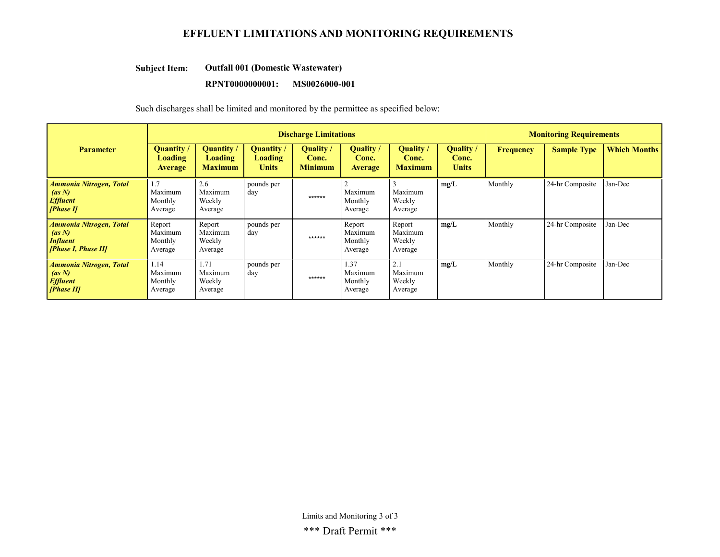# EFFLUENT LIMITATIONS AND MONITORING REQUIREMENTS

#### Outfall 001 (Domestic Wastewater) Subject Item:

#### RPNT0000000001: MS0026000-001

Such discharges shall be limited and monitored by the permittee as specified below:

|                                                                                    | <b>Discharge Limitations</b>                   |                                              |                                            |                                      |                                           |                                        |                                           |                  | <b>Monitoring Requirements</b> |                     |  |
|------------------------------------------------------------------------------------|------------------------------------------------|----------------------------------------------|--------------------------------------------|--------------------------------------|-------------------------------------------|----------------------------------------|-------------------------------------------|------------------|--------------------------------|---------------------|--|
| <b>Parameter</b>                                                                   | <b>Quantity</b> /<br>Loading<br><b>Average</b> | <b>Quantity</b><br>Loading<br><b>Maximum</b> | <b>Quantity</b><br>Loading<br><b>Units</b> | Quality /<br>Conc.<br><b>Minimum</b> | <b>Quality</b><br>Conc.<br><b>Average</b> | Quality /<br>Conc.<br><b>Maximum</b>   | <b>Quality</b> /<br>Conc.<br><b>Units</b> | <b>Frequency</b> | <b>Sample Type</b>             | <b>Which Months</b> |  |
| <b>Ammonia Nitrogen, Total</b><br>(as N)<br><b>Effluent</b><br>[Phase II]          | 1.7<br>Maximum<br>Monthly<br>Average           | 2.6<br>Maximum<br>Weekly<br>Average          | pounds per<br>day                          | ******                               | Maximum<br>Monthly<br>Average             | Maximum<br>Weekly<br>Average           | mg/L                                      | Monthly          | 24-hr Composite                | Jan-Dec             |  |
| <b>Ammonia Nitrogen, Total</b><br>(as N)<br><b>Influent</b><br>[Phase I, Phase II] | Report<br>Maximum<br>Monthly<br>Average        | Report<br>Maximum<br>Weekly<br>Average       | pounds per<br>day                          | ******                               | Report<br>Maximum<br>Monthly<br>Average   | Report<br>Maximum<br>Weekly<br>Average | mg/L                                      | Monthly          | 24-hr Composite                | Jan-Dec             |  |
| <b>Ammonia Nitrogen, Total</b><br>(as N)<br><b>Effluent</b><br>[Phase II]          | 1.14<br>Maximum<br>Monthly<br>Average          | 1.71<br>Maximum<br>Weekly<br>Average         | pounds per<br>day                          | ******                               | 1.37<br>Maximum<br>Monthly<br>Average     | 2.1<br>Maximum<br>Weekly<br>Average    | mg/L                                      | Monthly          | 24-hr Composite                | Jan-Dec             |  |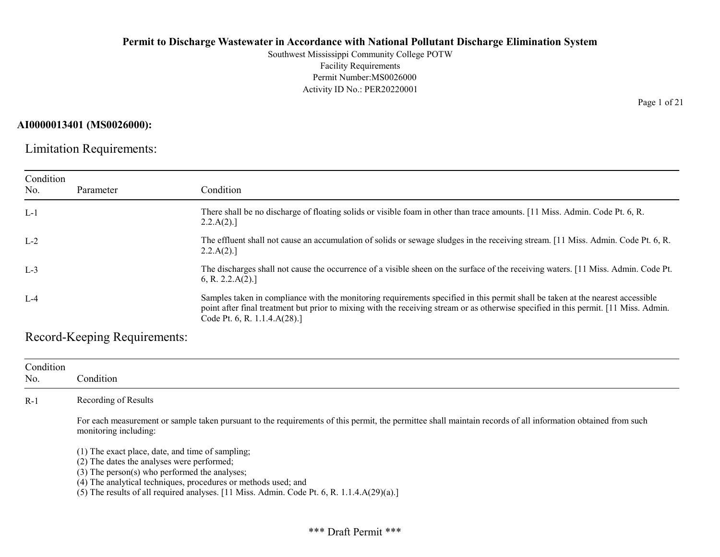Southwest Mississippi Community College POTW Facility Requirements Permit Number:MS0026000 Activity ID No.: PER20220001

#### AI0000013401 (MS0026000):

Limitation Requirements:

| Condition<br>No. | Parameter | Condition                                                                                                                                                                                                                                                                                              |
|------------------|-----------|--------------------------------------------------------------------------------------------------------------------------------------------------------------------------------------------------------------------------------------------------------------------------------------------------------|
| $L-1$            |           | There shall be no discharge of floating solids or visible foam in other than trace amounts. [11 Miss. Admin. Code Pt. 6, R.<br>2.2.A(2).                                                                                                                                                               |
| $L-2$            |           | The effluent shall not cause an accumulation of solids or sewage sludges in the receiving stream. [11 Miss. Admin. Code Pt. 6, R.<br>2.2.A(2).                                                                                                                                                         |
| $L-3$            |           | The discharges shall not cause the occurrence of a visible sheen on the surface of the receiving waters. [11 Miss. Admin. Code Pt.<br>6, R. 2.2.A(2).                                                                                                                                                  |
| $L-4$            |           | Samples taken in compliance with the monitoring requirements specified in this permit shall be taken at the nearest accessible<br>point after final treatment but prior to mixing with the receiving stream or as otherwise specified in this permit. [11 Miss. Admin.<br>Code Pt. 6, R. 1.1.4.A(28).] |

Record-Keeping Requirements:

| Condition<br>No. | Condition                                                                                                                                                                                                                                                                                                             |
|------------------|-----------------------------------------------------------------------------------------------------------------------------------------------------------------------------------------------------------------------------------------------------------------------------------------------------------------------|
| $R-1$            | Recording of Results                                                                                                                                                                                                                                                                                                  |
|                  | For each measurement or sample taken pursuant to the requirements of this permit, the permittee shall maintain records of all information obtained from such<br>monitoring including:                                                                                                                                 |
|                  | $(1)$ The exact place, date, and time of sampling;<br>(2) The dates the analyses were performed;<br>(3) The person(s) who performed the analyses;<br>(4) The analytical techniques, procedures or methods used; and<br>(5) The results of all required analyses. [11 Miss. Admin. Code Pt. 6, R. 1.1.4.A $(29)(a)$ .] |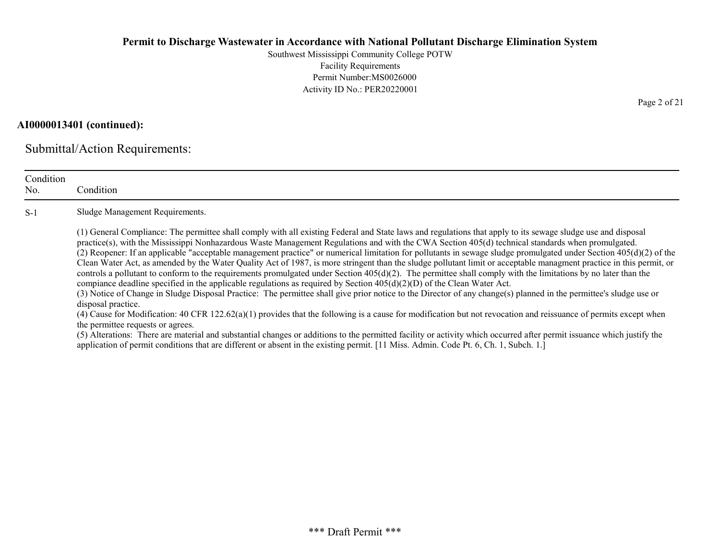Southwest Mississippi Community College POTW Facility Requirements Permit Number:MS0026000 Activity ID No.: PER20220001

# AI0000013401 (continued):

Submittal/Action Requirements:

| Condition<br>No. | Condition                                                                                                                                                                                                                                                                                                                                                                                                                                                                                                                                                                                                                                                                                                                                                                                                                                                                                                                                                                                                                                                                                                                                                                                                                                                                                                                                                                                                                                                                                                                                                                                                                                                                             |
|------------------|---------------------------------------------------------------------------------------------------------------------------------------------------------------------------------------------------------------------------------------------------------------------------------------------------------------------------------------------------------------------------------------------------------------------------------------------------------------------------------------------------------------------------------------------------------------------------------------------------------------------------------------------------------------------------------------------------------------------------------------------------------------------------------------------------------------------------------------------------------------------------------------------------------------------------------------------------------------------------------------------------------------------------------------------------------------------------------------------------------------------------------------------------------------------------------------------------------------------------------------------------------------------------------------------------------------------------------------------------------------------------------------------------------------------------------------------------------------------------------------------------------------------------------------------------------------------------------------------------------------------------------------------------------------------------------------|
| $S-1$            | Sludge Management Requirements.                                                                                                                                                                                                                                                                                                                                                                                                                                                                                                                                                                                                                                                                                                                                                                                                                                                                                                                                                                                                                                                                                                                                                                                                                                                                                                                                                                                                                                                                                                                                                                                                                                                       |
|                  | (1) General Compliance: The permittee shall comply with all existing Federal and State laws and regulations that apply to its sewage sludge use and disposal<br>practice(s), with the Mississippi Nonhazardous Waste Management Regulations and with the CWA Section 405(d) technical standards when promulgated.<br>(2) Reopener: If an applicable "acceptable management practice" or numerical limitation for pollutants in sewage sludge promulgated under Section $405(d)(2)$ of the<br>Clean Water Act, as amended by the Water Quality Act of 1987, is more stringent than the sludge pollutant limit or acceptable managment practice in this permit, or<br>controls a pollutant to conform to the requirements promulgated under Section $405(d)(2)$ . The permittee shall comply with the limitations by no later than the<br>compiance deadline specified in the applicable regulations as required by Section $405(d)(2)(D)$ of the Clean Water Act.<br>(3) Notice of Change in Sludge Disposal Practice: The permittee shall give prior notice to the Director of any change(s) planned in the permittee's sludge use or<br>disposal practice.<br>(4) Cause for Modification: 40 CFR 122.62(a)(1) provides that the following is a cause for modification but not revocation and reissuance of permits except when<br>the permittee requests or agrees.<br>(5) Alterations: There are material and substantial changes or additions to the permitted facility or activity which occurred after permit issuance which justify the<br>application of permit conditions that are different or absent in the existing permit. [11 Miss. Admin. Code Pt. 6, Ch. 1, Subch. 1.] |

Page 2 of 21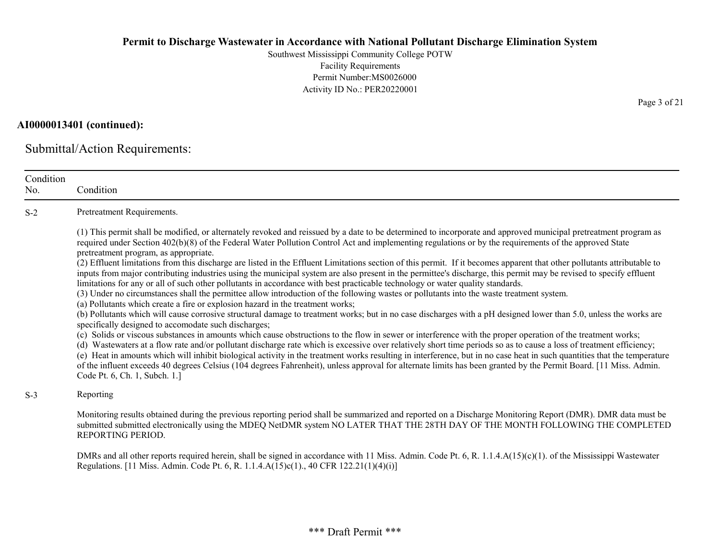Southwest Mississippi Community College POTW Facility Requirements Permit Number:MS0026000 Activity ID No.: PER20220001

# AI0000013401 (continued):

Submittal/Action Requirements:

| Condition<br>No. | Condition                                                                                                                                                                                                                                                                                                                                                                                                                                                                                                                                                                                                                                                                                                                                                                                                                                                                                                                                                                                                                                                                                                                                                                                                                                                                                                                                                                                                                                                                                                                                                                                                                                                                                                                                                                                                                                                                                                                                                                                                                               |
|------------------|-----------------------------------------------------------------------------------------------------------------------------------------------------------------------------------------------------------------------------------------------------------------------------------------------------------------------------------------------------------------------------------------------------------------------------------------------------------------------------------------------------------------------------------------------------------------------------------------------------------------------------------------------------------------------------------------------------------------------------------------------------------------------------------------------------------------------------------------------------------------------------------------------------------------------------------------------------------------------------------------------------------------------------------------------------------------------------------------------------------------------------------------------------------------------------------------------------------------------------------------------------------------------------------------------------------------------------------------------------------------------------------------------------------------------------------------------------------------------------------------------------------------------------------------------------------------------------------------------------------------------------------------------------------------------------------------------------------------------------------------------------------------------------------------------------------------------------------------------------------------------------------------------------------------------------------------------------------------------------------------------------------------------------------------|
| $S-2$            | Pretreatment Requirements.                                                                                                                                                                                                                                                                                                                                                                                                                                                                                                                                                                                                                                                                                                                                                                                                                                                                                                                                                                                                                                                                                                                                                                                                                                                                                                                                                                                                                                                                                                                                                                                                                                                                                                                                                                                                                                                                                                                                                                                                              |
|                  | (1) This permit shall be modified, or alternately revoked and reissued by a date to be determined to incorporate and approved municipal pretreatment program as<br>required under Section 402(b)(8) of the Federal Water Pollution Control Act and implementing regulations or by the requirements of the approved State<br>pretreatment program, as appropriate.<br>(2) Effluent limitations from this discharge are listed in the Effluent Limitations section of this permit. If it becomes apparent that other pollutants attributable to<br>inputs from major contributing industries using the municipal system are also present in the permittee's discharge, this permit may be revised to specify effluent<br>limitations for any or all of such other pollutants in accordance with best practicable technology or water quality standards.<br>(3) Under no circumstances shall the permittee allow introduction of the following wastes or pollutants into the waste treatment system.<br>(a) Pollutants which create a fire or explosion hazard in the treatment works;<br>(b) Pollutants which will cause corrosive structural damage to treatment works; but in no case discharges with a pH designed lower than 5.0, unless the works are<br>specifically designed to accomodate such discharges;<br>(c) Solids or viscous substances in amounts which cause obstructions to the flow in sewer or interference with the proper operation of the treatment works;<br>(d) Wastewaters at a flow rate and/or pollutant discharge rate which is excessive over relatively short time periods so as to cause a loss of treatment efficiency;<br>(e) Heat in amounts which will inhibit biological activity in the treatment works resulting in interference, but in no case heat in such quantities that the temperature<br>of the influent exceeds 40 degrees Celsius (104 degrees Fahrenheit), unless approval for alternate limits has been granted by the Permit Board. [11 Miss. Admin.<br>Code Pt. 6, Ch. 1, Subch. 1.] |
| $S-3$            | Reporting                                                                                                                                                                                                                                                                                                                                                                                                                                                                                                                                                                                                                                                                                                                                                                                                                                                                                                                                                                                                                                                                                                                                                                                                                                                                                                                                                                                                                                                                                                                                                                                                                                                                                                                                                                                                                                                                                                                                                                                                                               |
|                  | Monitoring results obtained during the previous reporting period shall be summarized and reported on a Discharge Monitoring Report (DMR). DMR data must be<br>submitted submitted electronically using the MDEQ NetDMR system NO LATER THAT THE 28TH DAY OF THE MONTH FOLLOWING THE COMPLETED<br>REPORTING PERIOD.                                                                                                                                                                                                                                                                                                                                                                                                                                                                                                                                                                                                                                                                                                                                                                                                                                                                                                                                                                                                                                                                                                                                                                                                                                                                                                                                                                                                                                                                                                                                                                                                                                                                                                                      |
|                  | DMRs and all other reports required herein, shall be signed in accordance with 11 Miss. Admin. Code Pt. 6, R. 1.1.4.A(15)(c)(1). of the Mississippi Wastewater<br>Regulations. [11 Miss. Admin. Code Pt. 6, R. 1.1.4.A(15)c(1)., 40 CFR 122.21(1)(4)(i)]                                                                                                                                                                                                                                                                                                                                                                                                                                                                                                                                                                                                                                                                                                                                                                                                                                                                                                                                                                                                                                                                                                                                                                                                                                                                                                                                                                                                                                                                                                                                                                                                                                                                                                                                                                                |

Page 3 of 21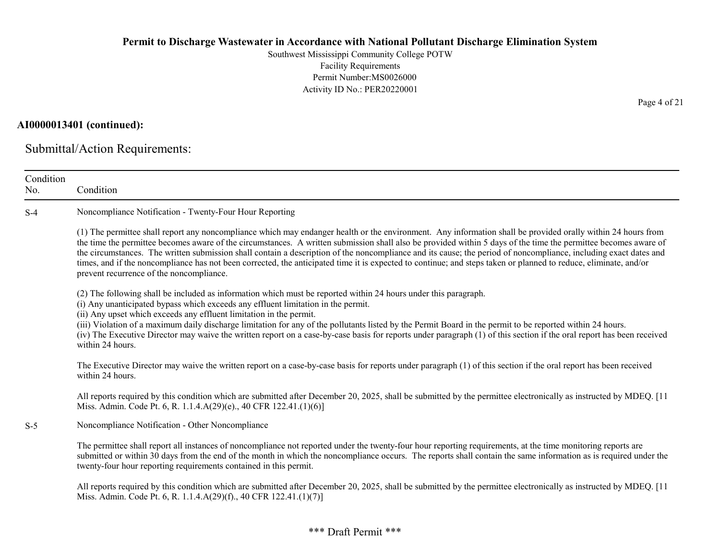Southwest Mississippi Community College POTW Facility Requirements Permit Number:MS0026000 Activity ID No.: PER20220001

### AI0000013401 (continued):

Submittal/Action Requirements:

| Condition<br>No. | Condition                                                                                                                                                                                                                                                                                                                                                                                                                                                                                                                                                                                                                                                                                                           |
|------------------|---------------------------------------------------------------------------------------------------------------------------------------------------------------------------------------------------------------------------------------------------------------------------------------------------------------------------------------------------------------------------------------------------------------------------------------------------------------------------------------------------------------------------------------------------------------------------------------------------------------------------------------------------------------------------------------------------------------------|
| $S-4$            | Noncompliance Notification - Twenty-Four Hour Reporting                                                                                                                                                                                                                                                                                                                                                                                                                                                                                                                                                                                                                                                             |
|                  | (1) The permittee shall report any noncompliance which may endanger health or the environment. Any information shall be provided orally within 24 hours from<br>the time the permittee becomes aware of the circumstances. A written submission shall also be provided within 5 days of the time the permittee becomes aware of<br>the circumstances. The written submission shall contain a description of the noncompliance and its cause; the period of noncompliance, including exact dates and<br>times, and if the noncompliance has not been corrected, the anticipated time it is expected to continue; and steps taken or planned to reduce, eliminate, and/or<br>prevent recurrence of the noncompliance. |
|                  | (2) The following shall be included as information which must be reported within 24 hours under this paragraph.<br>(i) Any unanticipated bypass which exceeds any effluent limitation in the permit.<br>(ii) Any upset which exceeds any effluent limitation in the permit.<br>(iii) Violation of a maximum daily discharge limitation for any of the pollutants listed by the Permit Board in the permit to be reported within 24 hours.<br>(iv) The Executive Director may waive the written report on a case-by-case basis for reports under paragraph (1) of this section if the oral report has been received<br>within 24 hours.                                                                              |
|                  | The Executive Director may waive the written report on a case-by-case basis for reports under paragraph (1) of this section if the oral report has been received<br>within 24 hours.                                                                                                                                                                                                                                                                                                                                                                                                                                                                                                                                |
|                  | All reports required by this condition which are submitted after December 20, 2025, shall be submitted by the permittee electronically as instructed by MDEQ. [11<br>Miss. Admin. Code Pt. 6, R. 1.1.4.A(29)(e)., 40 CFR 122.41.(1)(6)]                                                                                                                                                                                                                                                                                                                                                                                                                                                                             |
| $S-5$            | Noncompliance Notification - Other Noncompliance                                                                                                                                                                                                                                                                                                                                                                                                                                                                                                                                                                                                                                                                    |
|                  | The permittee shall report all instances of noncompliance not reported under the twenty-four hour reporting requirements, at the time monitoring reports are<br>submitted or within 30 days from the end of the month in which the noncompliance occurs. The reports shall contain the same information as is required under the<br>twenty-four hour reporting requirements contained in this permit.                                                                                                                                                                                                                                                                                                               |
|                  | All reports required by this condition which are submitted after December 20, 2025, shall be submitted by the permittee electronically as instructed by MDEQ. [11<br>Miss. Admin. Code Pt. 6, R. 1.1.4.A(29)(f)., 40 CFR 122.41.(1)(7)]                                                                                                                                                                                                                                                                                                                                                                                                                                                                             |

Page 4 of 21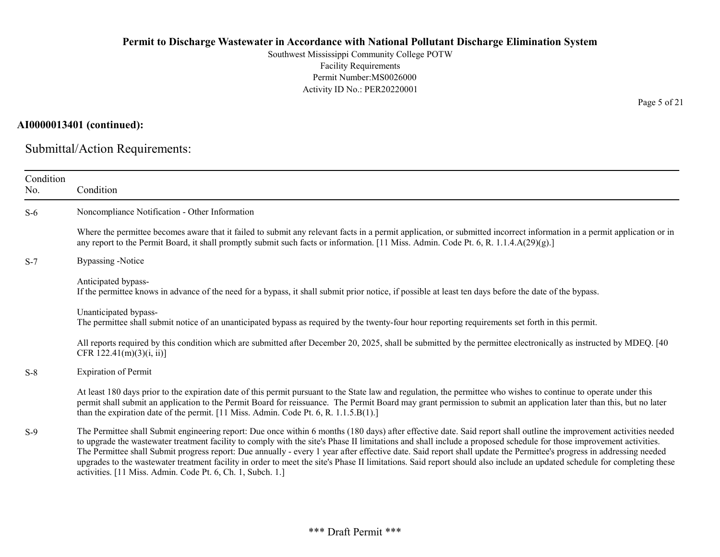Southwest Mississippi Community College POTW Facility Requirements Permit Number:MS0026000 Activity ID No.: PER20220001

# AI0000013401 (continued):

Submittal/Action Requirements:

| Condition<br>No. | Condition                                                                                                                                                                                                                                                                                                                                                                                                                                                                                                                                                                                                                                                                                                                                                     |
|------------------|---------------------------------------------------------------------------------------------------------------------------------------------------------------------------------------------------------------------------------------------------------------------------------------------------------------------------------------------------------------------------------------------------------------------------------------------------------------------------------------------------------------------------------------------------------------------------------------------------------------------------------------------------------------------------------------------------------------------------------------------------------------|
| $S-6$            | Noncompliance Notification - Other Information                                                                                                                                                                                                                                                                                                                                                                                                                                                                                                                                                                                                                                                                                                                |
|                  | Where the permittee becomes aware that it failed to submit any relevant facts in a permit application, or submitted incorrect information in a permit application or in<br>any report to the Permit Board, it shall promptly submit such facts or information. [11 Miss. Admin. Code Pt. 6, R. 1.1.4.A(29)(g).]                                                                                                                                                                                                                                                                                                                                                                                                                                               |
| $S-7$            | <b>Bypassing -Notice</b>                                                                                                                                                                                                                                                                                                                                                                                                                                                                                                                                                                                                                                                                                                                                      |
|                  | Anticipated bypass-<br>If the permittee knows in advance of the need for a bypass, it shall submit prior notice, if possible at least ten days before the date of the bypass.                                                                                                                                                                                                                                                                                                                                                                                                                                                                                                                                                                                 |
|                  | Unanticipated bypass-<br>The permittee shall submit notice of an unanticipated bypass as required by the twenty-four hour reporting requirements set forth in this permit.                                                                                                                                                                                                                                                                                                                                                                                                                                                                                                                                                                                    |
|                  | All reports required by this condition which are submitted after December 20, 2025, shall be submitted by the permittee electronically as instructed by MDEQ. [40]<br>CFR $122.41(m)(3)(i, ii)$ ]                                                                                                                                                                                                                                                                                                                                                                                                                                                                                                                                                             |
| $S-8$            | <b>Expiration of Permit</b>                                                                                                                                                                                                                                                                                                                                                                                                                                                                                                                                                                                                                                                                                                                                   |
|                  | At least 180 days prior to the expiration date of this permit pursuant to the State law and regulation, the permittee who wishes to continue to operate under this<br>permit shall submit an application to the Permit Board for reissuance. The Permit Board may grant permission to submit an application later than this, but no later<br>than the expiration date of the permit. $[11 \text{ Miss. Admin. Code Pt. 6, R. } 1.1.5.B(1).]$                                                                                                                                                                                                                                                                                                                  |
| $S-9$            | The Permittee shall Submit engineering report: Due once within 6 months (180 days) after effective date. Said report shall outline the improvement activities needed<br>to upgrade the wastewater treatment facility to comply with the site's Phase II limitations and shall include a proposed schedule for those improvement activities.<br>The Permittee shall Submit progress report: Due annually - every 1 year after effective date. Said report shall update the Permittee's progress in addressing needed<br>upgrades to the wastewater treatment facility in order to meet the site's Phase II limitations. Said report should also include an updated schedule for completing these<br>activities. [11 Miss. Admin. Code Pt. 6, Ch. 1, Subch. 1.] |

Page 5 of 21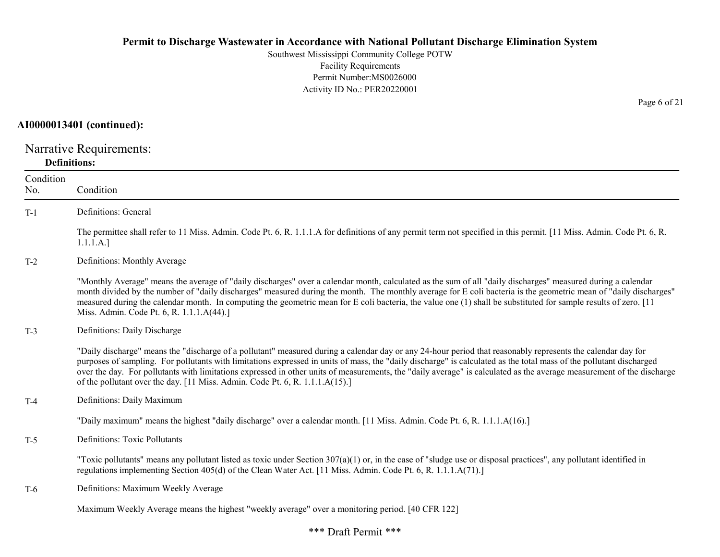Southwest Mississippi Community College POTW Facility Requirements Permit Number:MS0026000 Activity ID No.: PER20220001

#### AI0000013401 (continued):

Narrative Requirements: Definitions:

| Condition<br>No. | Condition                                                                                                                                                                                                                                                                                                                                                                                                                                                                                                                                                                                   |
|------------------|---------------------------------------------------------------------------------------------------------------------------------------------------------------------------------------------------------------------------------------------------------------------------------------------------------------------------------------------------------------------------------------------------------------------------------------------------------------------------------------------------------------------------------------------------------------------------------------------|
| $T-1$            | Definitions: General                                                                                                                                                                                                                                                                                                                                                                                                                                                                                                                                                                        |
|                  | The permittee shall refer to 11 Miss. Admin. Code Pt. 6, R. 1.1.1.A for definitions of any permit term not specified in this permit. [11 Miss. Admin. Code Pt. 6, R.<br>1.1.1.A.]                                                                                                                                                                                                                                                                                                                                                                                                           |
| $T-2$            | Definitions: Monthly Average                                                                                                                                                                                                                                                                                                                                                                                                                                                                                                                                                                |
|                  | "Monthly Average" means the average of "daily discharges" over a calendar month, calculated as the sum of all "daily discharges" measured during a calendar<br>month divided by the number of "daily discharges" measured during the month. The monthly average for E coli bacteria is the geometric mean of "daily discharges"<br>measured during the calendar month. In computing the geometric mean for E coli bacteria, the value one (1) shall be substituted for sample results of zero. [11]<br>Miss. Admin. Code Pt. 6, R. 1.1.1.A(44).]                                            |
| $T-3$            | Definitions: Daily Discharge                                                                                                                                                                                                                                                                                                                                                                                                                                                                                                                                                                |
|                  | "Daily discharge" means the "discharge of a pollutant" measured during a calendar day or any 24-hour period that reasonably represents the calendar day for<br>purposes of sampling. For pollutants with limitations expressed in units of mass, the "daily discharge" is calculated as the total mass of the pollutant discharged<br>over the day. For pollutants with limitations expressed in other units of measurements, the "daily average" is calculated as the average measurement of the discharge<br>of the pollutant over the day. [11 Miss. Admin. Code Pt. 6, R. 1.1.1.A(15).] |
| $T-4$            | Definitions: Daily Maximum                                                                                                                                                                                                                                                                                                                                                                                                                                                                                                                                                                  |
|                  | "Daily maximum" means the highest "daily discharge" over a calendar month. [11 Miss. Admin. Code Pt. 6, R. 1.1.1.A(16).]                                                                                                                                                                                                                                                                                                                                                                                                                                                                    |
| $T-5$            | <b>Definitions: Toxic Pollutants</b>                                                                                                                                                                                                                                                                                                                                                                                                                                                                                                                                                        |
|                  | "Toxic pollutants" means any pollutant listed as toxic under Section $307(a)(1)$ or, in the case of "sludge use or disposal practices", any pollutant identified in<br>regulations implementing Section 405(d) of the Clean Water Act. [11 Miss. Admin. Code Pt. 6, R. 1.1.1.A(71).]                                                                                                                                                                                                                                                                                                        |
| T-6              | Definitions: Maximum Weekly Average                                                                                                                                                                                                                                                                                                                                                                                                                                                                                                                                                         |
|                  | Maximum Weekly Average means the highest "weekly average" over a monitoring period. [40 CFR 122]                                                                                                                                                                                                                                                                                                                                                                                                                                                                                            |

Page 6 of 21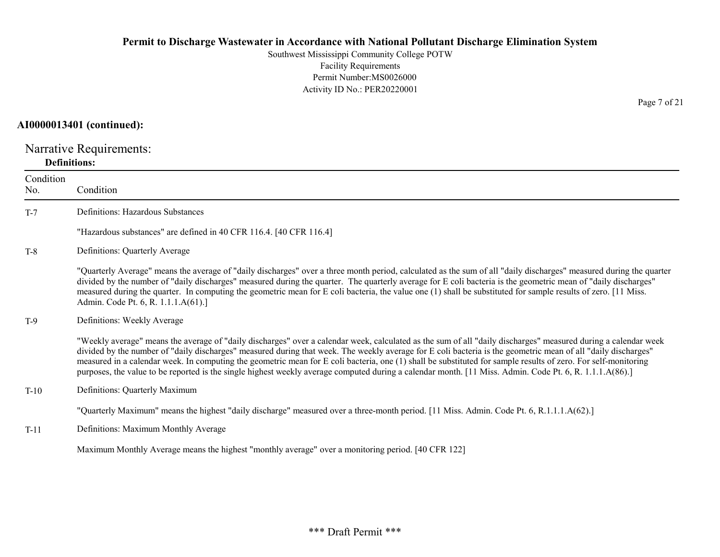Southwest Mississippi Community College POTW Facility Requirements Permit Number:MS0026000 Activity ID No.: PER20220001

#### AI0000013401 (continued):

Narrative Requirements: Definitions:

| Condition<br>No. | Condition                                                                                                                                                                                                                                                                                                                                                                                                                                                                                                                                                                                                                                                    |
|------------------|--------------------------------------------------------------------------------------------------------------------------------------------------------------------------------------------------------------------------------------------------------------------------------------------------------------------------------------------------------------------------------------------------------------------------------------------------------------------------------------------------------------------------------------------------------------------------------------------------------------------------------------------------------------|
| $T-7$            | Definitions: Hazardous Substances                                                                                                                                                                                                                                                                                                                                                                                                                                                                                                                                                                                                                            |
|                  | "Hazardous substances" are defined in 40 CFR 116.4. [40 CFR 116.4]                                                                                                                                                                                                                                                                                                                                                                                                                                                                                                                                                                                           |
| $T-8$            | Definitions: Quarterly Average                                                                                                                                                                                                                                                                                                                                                                                                                                                                                                                                                                                                                               |
|                  | "Quarterly Average" means the average of "daily discharges" over a three month period, calculated as the sum of all "daily discharges" measured during the quarter<br>divided by the number of "daily discharges" measured during the quarter. The quarterly average for E coli bacteria is the geometric mean of "daily discharges"<br>measured during the quarter. In computing the geometric mean for E coli bacteria, the value one (1) shall be substituted for sample results of zero. [11 Miss.<br>Admin. Code Pt. 6, R. 1.1.1.A(61).]                                                                                                                |
| $T-9$            | Definitions: Weekly Average                                                                                                                                                                                                                                                                                                                                                                                                                                                                                                                                                                                                                                  |
|                  | "Weekly average" means the average of "daily discharges" over a calendar week, calculated as the sum of all "daily discharges" measured during a calendar week<br>divided by the number of "daily discharges" measured during that week. The weekly average for E coli bacteria is the geometric mean of all "daily discharges"<br>measured in a calendar week. In computing the geometric mean for E coli bacteria, one (1) shall be substituted for sample results of zero. For self-monitoring<br>purposes, the value to be reported is the single highest weekly average computed during a calendar month. [11 Miss. Admin. Code Pt. 6, R. 1.1.1.A(86).] |
| $T-10$           | Definitions: Quarterly Maximum                                                                                                                                                                                                                                                                                                                                                                                                                                                                                                                                                                                                                               |
|                  | "Quarterly Maximum" means the highest "daily discharge" measured over a three-month period. [11 Miss. Admin. Code Pt. 6, R.1.1.1.A(62).]                                                                                                                                                                                                                                                                                                                                                                                                                                                                                                                     |
| $T-11$           | Definitions: Maximum Monthly Average                                                                                                                                                                                                                                                                                                                                                                                                                                                                                                                                                                                                                         |
|                  | Maximum Monthly Average means the highest "monthly average" over a monitoring period. [40 CFR 122]                                                                                                                                                                                                                                                                                                                                                                                                                                                                                                                                                           |

Page 7 of 21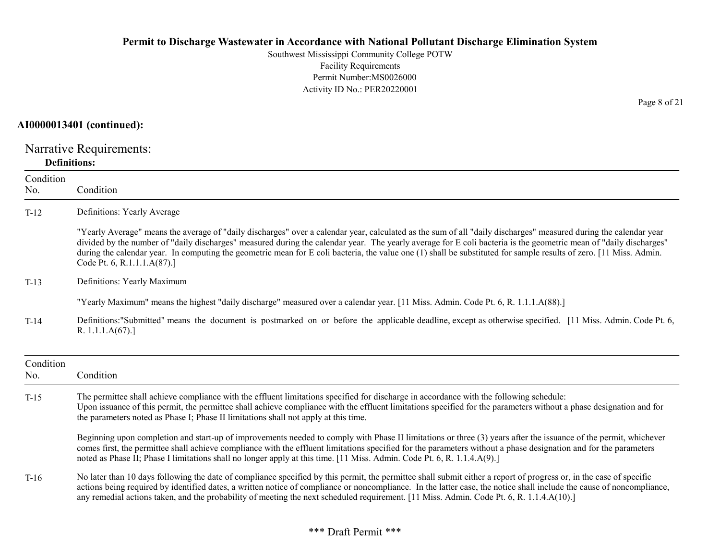Southwest Mississippi Community College POTW Facility Requirements Permit Number:MS0026000 Activity ID No.: PER20220001

### AI0000013401 (continued):

Narrative Requirements: Definitions:

| Condition<br>No. | Condition                                                                                                                                                                                                                                                                                                                                                                                                                                                                                                                                  |
|------------------|--------------------------------------------------------------------------------------------------------------------------------------------------------------------------------------------------------------------------------------------------------------------------------------------------------------------------------------------------------------------------------------------------------------------------------------------------------------------------------------------------------------------------------------------|
| $T-12$           | Definitions: Yearly Average                                                                                                                                                                                                                                                                                                                                                                                                                                                                                                                |
|                  | "Yearly Average" means the average of "daily discharges" over a calendar year, calculated as the sum of all "daily discharges" measured during the calendar year<br>divided by the number of "daily discharges" measured during the calendar year. The yearly average for E coli bacteria is the geometric mean of "daily discharges"<br>during the calendar year. In computing the geometric mean for E coli bacteria, the value one (1) shall be substituted for sample results of zero. [11 Miss. Admin.<br>Code Pt. 6, R.1.1.1.A(87).] |
| $T-13$           | Definitions: Yearly Maximum                                                                                                                                                                                                                                                                                                                                                                                                                                                                                                                |
|                  | "Yearly Maximum" means the highest "daily discharge" measured over a calendar year. [11 Miss. Admin. Code Pt. 6, R. 1.1.1.A(88).]                                                                                                                                                                                                                                                                                                                                                                                                          |
| $T-14$           | Definitions: "Submitted" means the document is postmarked on or before the applicable deadline, except as otherwise specified. [11 Miss. Admin. Code Pt. 6,<br>R. $1.1.1.A(67).$                                                                                                                                                                                                                                                                                                                                                           |
| Condition<br>No. | Condition                                                                                                                                                                                                                                                                                                                                                                                                                                                                                                                                  |
| $T-15$           | The permittee shall achieve compliance with the effluent limitations specified for discharge in accordance with the following schedule:<br>Upon issuance of this permit, the permittee shall achieve compliance with the effluent limitations specified for the parameters without a phase designation and for<br>the parameters noted as Phase I; Phase II limitations shall not apply at this time.                                                                                                                                      |
|                  | Beginning upon completion and start-up of improvements needed to comply with Phase II limitations or three (3) years after the issuance of the permit, whichever<br>comes first, the permittee shall achieve compliance with the effluent limitations specified for the parameters without a phase designation and for the parameters<br>noted as Phase II; Phase I limitations shall no longer apply at this time. [11 Miss. Admin. Code Pt. 6, R. 1.1.4.A(9).]                                                                           |
| $T-16$           | No later than 10 days following the date of compliance specified by this permit, the permittee shall submit either a report of progress or, in the case of specific<br>actions being required by identified dates, a written notice of compliance or noncompliance. In the latter case, the notice shall include the cause of noncompliance,<br>any remedial actions taken, and the probability of meeting the next scheduled requirement. [11 Miss. Admin. Code Pt. 6, R. 1.1.4.A(10).]                                                   |

Page 8 of 21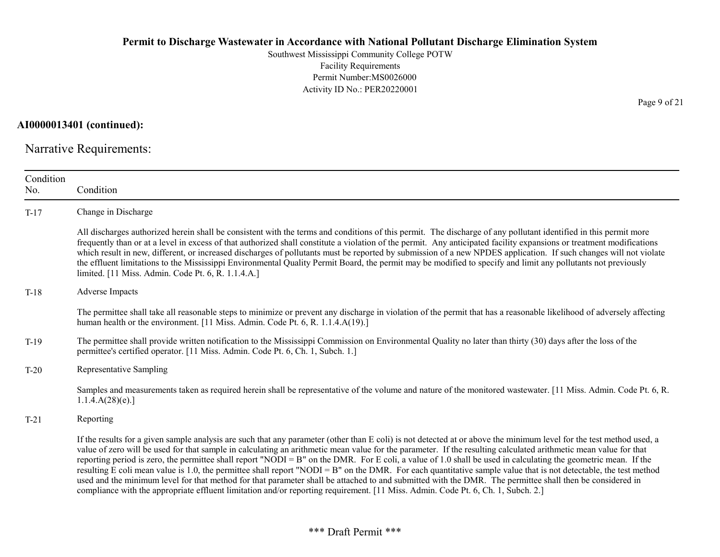Southwest Mississippi Community College POTW Facility Requirements Permit Number:MS0026000 Activity ID No.: PER20220001

AI0000013401 (continued):

Narrative Requirements:

| Condition<br>No. | Condition                                                                                                                                                                                                                                                                                                                                                                                                                                                                                                                                                                                                                                                                                                                                                                                                                                                                                                                                                                      |
|------------------|--------------------------------------------------------------------------------------------------------------------------------------------------------------------------------------------------------------------------------------------------------------------------------------------------------------------------------------------------------------------------------------------------------------------------------------------------------------------------------------------------------------------------------------------------------------------------------------------------------------------------------------------------------------------------------------------------------------------------------------------------------------------------------------------------------------------------------------------------------------------------------------------------------------------------------------------------------------------------------|
| $T-17$           | Change in Discharge                                                                                                                                                                                                                                                                                                                                                                                                                                                                                                                                                                                                                                                                                                                                                                                                                                                                                                                                                            |
|                  | All discharges authorized herein shall be consistent with the terms and conditions of this permit. The discharge of any pollutant identified in this permit more<br>frequently than or at a level in excess of that authorized shall constitute a violation of the permit. Any anticipated facility expansions or treatment modifications<br>which result in new, different, or increased discharges of pollutants must be reported by submission of a new NPDES application. If such changes will not violate<br>the effluent limitations to the Mississippi Environmental Quality Permit Board, the permit may be modified to specify and limit any pollutants not previously<br>limited. [11 Miss. Admin. Code Pt. 6, R. 1.1.4.A.]                                                                                                                                                                                                                                          |
| $T-18$           | <b>Adverse Impacts</b>                                                                                                                                                                                                                                                                                                                                                                                                                                                                                                                                                                                                                                                                                                                                                                                                                                                                                                                                                         |
|                  | The permittee shall take all reasonable steps to minimize or prevent any discharge in violation of the permit that has a reasonable likelihood of adversely affecting<br>human health or the environment. [11 Miss. Admin. Code Pt. 6, R. 1.1.4.A(19).]                                                                                                                                                                                                                                                                                                                                                                                                                                                                                                                                                                                                                                                                                                                        |
| $T-19$           | The permittee shall provide written notification to the Mississippi Commission on Environmental Quality no later than thirty (30) days after the loss of the<br>permittee's certified operator. [11 Miss. Admin. Code Pt. 6, Ch. 1, Subch. 1.]                                                                                                                                                                                                                                                                                                                                                                                                                                                                                                                                                                                                                                                                                                                                 |
| $T-20$           | Representative Sampling                                                                                                                                                                                                                                                                                                                                                                                                                                                                                                                                                                                                                                                                                                                                                                                                                                                                                                                                                        |
|                  | Samples and measurements taken as required herein shall be representative of the volume and nature of the monitored wastewater. [11 Miss. Admin. Code Pt. 6, R.<br>1.1.4.A(28)(e).                                                                                                                                                                                                                                                                                                                                                                                                                                                                                                                                                                                                                                                                                                                                                                                             |
| $T-21$           | Reporting                                                                                                                                                                                                                                                                                                                                                                                                                                                                                                                                                                                                                                                                                                                                                                                                                                                                                                                                                                      |
|                  | If the results for a given sample analysis are such that any parameter (other than E coli) is not detected at or above the minimum level for the test method used, a<br>value of zero will be used for that sample in calculating an arithmetic mean value for the parameter. If the resulting calculated arithmetic mean value for that<br>reporting period is zero, the permittee shall report "NODI = B" on the DMR. For E coli, a value of 1.0 shall be used in calculating the geometric mean. If the<br>resulting E coli mean value is 1.0, the permittee shall report "NODI = B" on the DMR. For each quantitative sample value that is not detectable, the test method<br>used and the minimum level for that method for that parameter shall be attached to and submitted with the DMR. The permittee shall then be considered in<br>compliance with the appropriate effluent limitation and/or reporting requirement. [11 Miss. Admin. Code Pt. 6, Ch. 1, Subch. 2.] |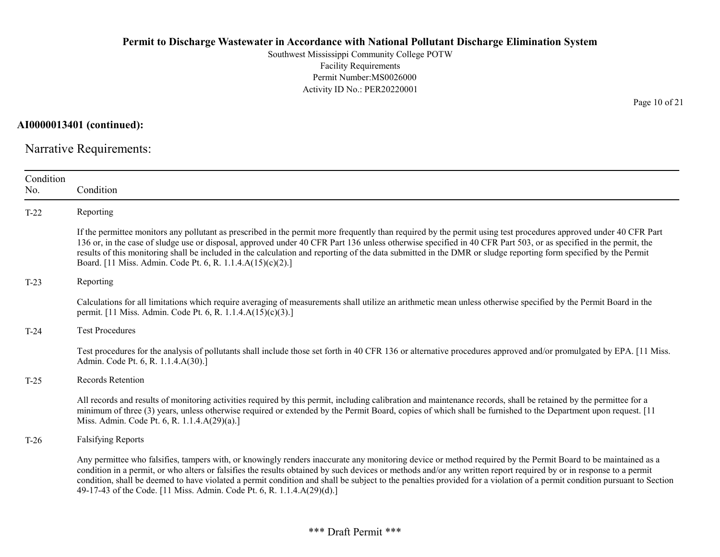Southwest Mississippi Community College POTW Facility Requirements Permit Number:MS0026000 Activity ID No.: PER20220001

AI0000013401 (continued):

Narrative Requirements:

| Condition<br>No. | Condition                                                                                                                                                                                                                                                                                                                                                                                                                                                                                                                                                                                |
|------------------|------------------------------------------------------------------------------------------------------------------------------------------------------------------------------------------------------------------------------------------------------------------------------------------------------------------------------------------------------------------------------------------------------------------------------------------------------------------------------------------------------------------------------------------------------------------------------------------|
| $T-22$           | Reporting                                                                                                                                                                                                                                                                                                                                                                                                                                                                                                                                                                                |
|                  | If the permittee monitors any pollutant as prescribed in the permit more frequently than required by the permit using test procedures approved under 40 CFR Part<br>136 or, in the case of sludge use or disposal, approved under 40 CFR Part 136 unless otherwise specified in 40 CFR Part 503, or as specified in the permit, the<br>results of this monitoring shall be included in the calculation and reporting of the data submitted in the DMR or sludge reporting form specified by the Permit<br>Board. [11 Miss. Admin. Code Pt. 6, R. 1.1.4.A(15)(c)(2).]                     |
| $T-23$           | Reporting                                                                                                                                                                                                                                                                                                                                                                                                                                                                                                                                                                                |
|                  | Calculations for all limitations which require averaging of measurements shall utilize an arithmetic mean unless otherwise specified by the Permit Board in the<br>permit. [11 Miss. Admin. Code Pt. 6, R. 1.1.4.A(15)(c)(3).]                                                                                                                                                                                                                                                                                                                                                           |
| $T-24$           | <b>Test Procedures</b>                                                                                                                                                                                                                                                                                                                                                                                                                                                                                                                                                                   |
|                  | Test procedures for the analysis of pollutants shall include those set forth in 40 CFR 136 or alternative procedures approved and/or promulgated by EPA. [11 Miss.]<br>Admin. Code Pt. 6, R. 1.1.4.A(30).]                                                                                                                                                                                                                                                                                                                                                                               |
| $T-25$           | <b>Records Retention</b>                                                                                                                                                                                                                                                                                                                                                                                                                                                                                                                                                                 |
|                  | All records and results of monitoring activities required by this permit, including calibration and maintenance records, shall be retained by the permittee for a<br>minimum of three (3) years, unless otherwise required or extended by the Permit Board, copies of which shall be furnished to the Department upon request. [11]<br>Miss. Admin. Code Pt. 6, R. 1.1.4.A(29)(a).]                                                                                                                                                                                                      |
| $T-26$           | <b>Falsifying Reports</b>                                                                                                                                                                                                                                                                                                                                                                                                                                                                                                                                                                |
|                  | Any permittee who falsifies, tampers with, or knowingly renders inaccurate any monitoring device or method required by the Permit Board to be maintained as a<br>condition in a permit, or who alters or falsifies the results obtained by such devices or methods and/or any written report required by or in response to a permit<br>condition, shall be deemed to have violated a permit condition and shall be subject to the penalties provided for a violation of a permit condition pursuant to Section<br>49-17-43 of the Code. [11 Miss. Admin. Code Pt. 6, R. 1.1.4.A(29)(d).] |

Page 10 of 21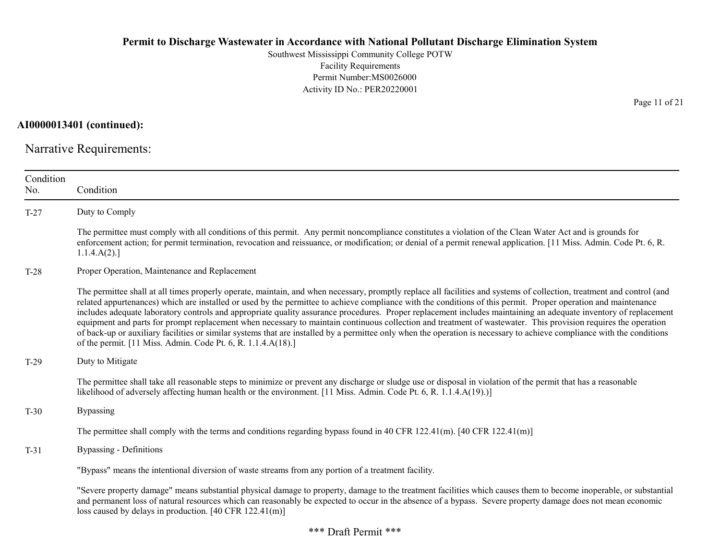Southwest Mississippi Community College POTW Facility Requirements Permit Number:MS0026000 Activity ID No.: PER20220001

AI0000013401 (continued):

Narrative Requirements:

| Condition<br>No. | Condition                                                                                                                                                                                                                                                                                                                                                                                                                                                                                                                                                                                                                                                                                                                                                                                                                                                                                                                |
|------------------|--------------------------------------------------------------------------------------------------------------------------------------------------------------------------------------------------------------------------------------------------------------------------------------------------------------------------------------------------------------------------------------------------------------------------------------------------------------------------------------------------------------------------------------------------------------------------------------------------------------------------------------------------------------------------------------------------------------------------------------------------------------------------------------------------------------------------------------------------------------------------------------------------------------------------|
| $T-27$           | Duty to Comply                                                                                                                                                                                                                                                                                                                                                                                                                                                                                                                                                                                                                                                                                                                                                                                                                                                                                                           |
|                  | The permittee must comply with all conditions of this permit. Any permit noncompliance constitutes a violation of the Clean Water Act and is grounds for<br>enforcement action; for permit termination, revocation and reissuance, or modification; or denial of a permit renewal application. [11 Miss. Admin. Code Pt. 6, R.<br>1.1.4.A(2).                                                                                                                                                                                                                                                                                                                                                                                                                                                                                                                                                                            |
| $T-28$           | Proper Operation, Maintenance and Replacement                                                                                                                                                                                                                                                                                                                                                                                                                                                                                                                                                                                                                                                                                                                                                                                                                                                                            |
|                  | The permittee shall at all times properly operate, maintain, and when necessary, promptly replace all facilities and systems of collection, treatment and control (and<br>related appurtenances) which are installed or used by the permittee to achieve compliance with the conditions of this permit. Proper operation and maintenance<br>includes adequate laboratory controls and appropriate quality assurance procedures. Proper replacement includes maintaining an adequate inventory of replacement<br>equipment and parts for prompt replacement when necessary to maintain continuous collection and treatment of wastewater. This provision requires the operation<br>of back-up or auxiliary facilities or similar systems that are installed by a permittee only when the operation is necessary to achieve compliance with the conditions<br>of the permit. [11 Miss. Admin. Code Pt. 6, R. 1.1.4.A(18).] |
| $T-29$           | Duty to Mitigate                                                                                                                                                                                                                                                                                                                                                                                                                                                                                                                                                                                                                                                                                                                                                                                                                                                                                                         |
|                  | The permittee shall take all reasonable steps to minimize or prevent any discharge or sludge use or disposal in violation of the permit that has a reasonable<br>likelihood of adversely affecting human health or the environment. [11 Miss. Admin. Code Pt. 6, R. 1.1.4.A(19).)]                                                                                                                                                                                                                                                                                                                                                                                                                                                                                                                                                                                                                                       |
| $T-30$           | <b>Bypassing</b>                                                                                                                                                                                                                                                                                                                                                                                                                                                                                                                                                                                                                                                                                                                                                                                                                                                                                                         |
|                  | The permittee shall comply with the terms and conditions regarding bypass found in 40 CFR 122.41(m). [40 CFR 122.41(m)]                                                                                                                                                                                                                                                                                                                                                                                                                                                                                                                                                                                                                                                                                                                                                                                                  |
| $T-31$           | <b>Bypassing - Definitions</b>                                                                                                                                                                                                                                                                                                                                                                                                                                                                                                                                                                                                                                                                                                                                                                                                                                                                                           |
|                  | "Bypass" means the intentional diversion of waste streams from any portion of a treatment facility.                                                                                                                                                                                                                                                                                                                                                                                                                                                                                                                                                                                                                                                                                                                                                                                                                      |
|                  | "Severe property damage" means substantial physical damage to property, damage to the treatment facilities which causes them to become inoperable, or substantial<br>and permanent loss of natural resources which can reasonably be expected to occur in the absence of a bypass. Severe property damage does not mean economic<br>loss caused by delays in production. [40 CFR 122.41(m)]                                                                                                                                                                                                                                                                                                                                                                                                                                                                                                                              |

Page 11 of 21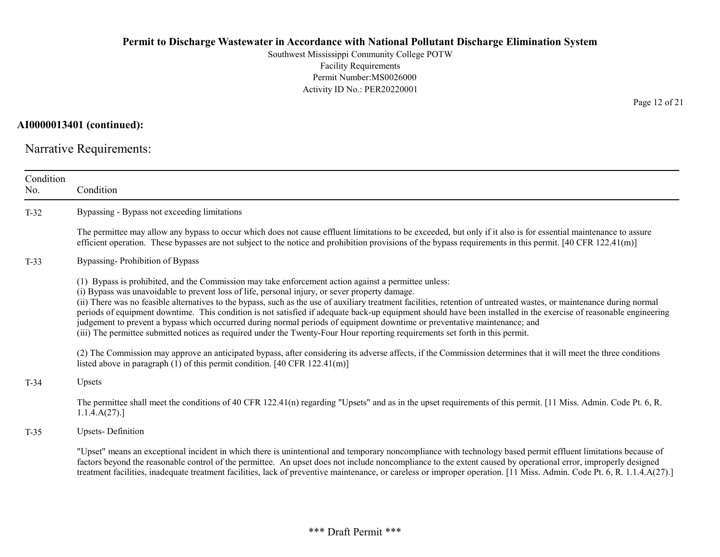Southwest Mississippi Community College POTW Facility Requirements Permit Number:MS0026000 Activity ID No.: PER20220001

# AI0000013401 (continued):

Narrative Requirements:

| Condition<br>No. | Condition                                                                                                                                                                                                                                                                                                                                                                                                                                                                                                                                                                                                                                                                                                                                                                                                          |
|------------------|--------------------------------------------------------------------------------------------------------------------------------------------------------------------------------------------------------------------------------------------------------------------------------------------------------------------------------------------------------------------------------------------------------------------------------------------------------------------------------------------------------------------------------------------------------------------------------------------------------------------------------------------------------------------------------------------------------------------------------------------------------------------------------------------------------------------|
| $T-32$           | Bypassing - Bypass not exceeding limitations                                                                                                                                                                                                                                                                                                                                                                                                                                                                                                                                                                                                                                                                                                                                                                       |
|                  | The permittee may allow any bypass to occur which does not cause effluent limitations to be exceeded, but only if it also is for essential maintenance to assure<br>efficient operation. These bypasses are not subject to the notice and prohibition provisions of the bypass requirements in this permit. $[40 \text{ CFR } 122.41 \text{m}]$                                                                                                                                                                                                                                                                                                                                                                                                                                                                    |
| $T-33$           | Bypassing-Prohibition of Bypass                                                                                                                                                                                                                                                                                                                                                                                                                                                                                                                                                                                                                                                                                                                                                                                    |
|                  | (1) Bypass is prohibited, and the Commission may take enforcement action against a permittee unless:<br>(i) Bypass was unavoidable to prevent loss of life, personal injury, or sever property damage.<br>(ii) There was no feasible alternatives to the bypass, such as the use of auxiliary treatment facilities, retention of untreated wastes, or maintenance during normal<br>periods of equipment downtime. This condition is not satisfied if adequate back-up equipment should have been installed in the exercise of reasonable engineering<br>judgement to prevent a bypass which occurred during normal periods of equipment downtime or preventative maintenance; and<br>(iii) The permittee submitted notices as required under the Twenty-Four Hour reporting requirements set forth in this permit. |
|                  | (2) The Commission may approve an anticipated bypass, after considering its adverse affects, if the Commission determines that it will meet the three conditions<br>listed above in paragraph $(1)$ of this permit condition. [40 CFR 122.41(m)]                                                                                                                                                                                                                                                                                                                                                                                                                                                                                                                                                                   |
| $T-34$           | Upsets                                                                                                                                                                                                                                                                                                                                                                                                                                                                                                                                                                                                                                                                                                                                                                                                             |
|                  | The permittee shall meet the conditions of 40 CFR 122.41(n) regarding "Upsets" and as in the upset requirements of this permit. [11 Miss. Admin. Code Pt. 6, R.<br>1.1.4.A(27).                                                                                                                                                                                                                                                                                                                                                                                                                                                                                                                                                                                                                                    |
| $T-35$           | <b>Upsets-Definition</b>                                                                                                                                                                                                                                                                                                                                                                                                                                                                                                                                                                                                                                                                                                                                                                                           |
|                  | "Upset" means an exceptional incident in which there is unintentional and temporary noncompliance with technology based permit effluent limitations because of<br>factors beyond the reasonable control of the permittee. An upset does not include noncompliance to the extent caused by operational error, improperly designed<br>treatment facilities, inadequate treatment facilities, lack of preventive maintenance, or careless or improper operation. [11 Miss. Admin. Code Pt. 6, R. 1.1.4.A(27).]                                                                                                                                                                                                                                                                                                        |

Page 12 of 21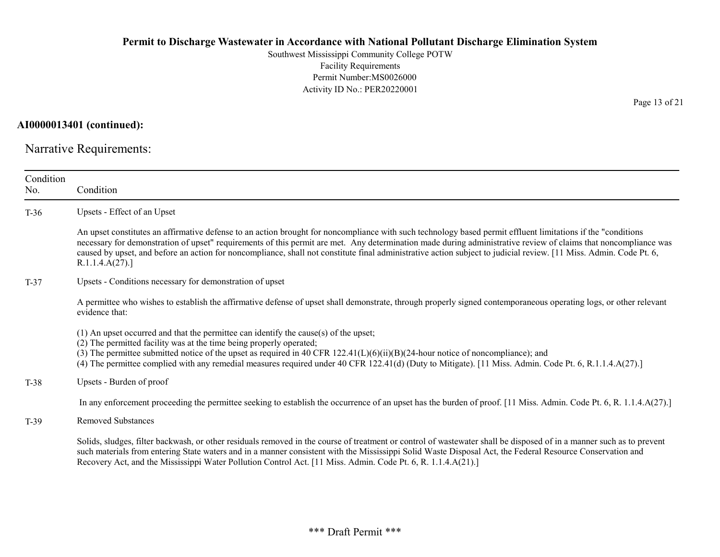Southwest Mississippi Community College POTW Facility Requirements Permit Number:MS0026000 Activity ID No.: PER20220001

AI0000013401 (continued):

Narrative Requirements:

| Condition<br>No. | Condition                                                                                                                                                                                                                                                                                                                                                                                                                                                                                                                |
|------------------|--------------------------------------------------------------------------------------------------------------------------------------------------------------------------------------------------------------------------------------------------------------------------------------------------------------------------------------------------------------------------------------------------------------------------------------------------------------------------------------------------------------------------|
| $T-36$           | Upsets - Effect of an Upset                                                                                                                                                                                                                                                                                                                                                                                                                                                                                              |
|                  | An upset constitutes an affirmative defense to an action brought for noncompliance with such technology based permit effluent limitations if the "conditions"<br>necessary for demonstration of upset" requirements of this permit are met. Any determination made during administrative review of claims that noncompliance was<br>caused by upset, and before an action for noncompliance, shall not constitute final administrative action subject to judicial review. [11 Miss. Admin. Code Pt. 6,<br>R.1.1.4.A(27). |
| $T-37$           | Upsets - Conditions necessary for demonstration of upset                                                                                                                                                                                                                                                                                                                                                                                                                                                                 |
|                  | A permittee who wishes to establish the affirmative defense of upset shall demonstrate, through properly signed contemporaneous operating logs, or other relevant<br>evidence that:                                                                                                                                                                                                                                                                                                                                      |
|                  | $(1)$ An upset occurred and that the permittee can identify the cause(s) of the upset;<br>(2) The permitted facility was at the time being properly operated;<br>(3) The permittee submitted notice of the upset as required in 40 CFR 122.41(L)(6)(ii)(B)(24-hour notice of noncompliance); and<br>(4) The permittee complied with any remedial measures required under 40 CFR 122.41(d) (Duty to Mitigate). [11 Miss. Admin. Code Pt. 6, R.1.1.4.A(27).]                                                               |
| $T-38$           | Upsets - Burden of proof                                                                                                                                                                                                                                                                                                                                                                                                                                                                                                 |
|                  | In any enforcement proceeding the permittee seeking to establish the occurrence of an upset has the burden of proof. [11 Miss. Admin. Code Pt. 6, R. 1.1.4.A(27).]                                                                                                                                                                                                                                                                                                                                                       |
| $T-39$           | <b>Removed Substances</b>                                                                                                                                                                                                                                                                                                                                                                                                                                                                                                |
|                  | Solids, sludges, filter backwash, or other residuals removed in the course of treatment or control of wastewater shall be disposed of in a manner such as to prevent<br>such materials from entering State waters and in a manner consistent with the Mississippi Solid Waste Disposal Act, the Federal Resource Conservation and<br>Recovery Act, and the Mississippi Water Pollution Control Act. [11 Miss. Admin. Code Pt. 6, R. 1.1.4.A(21).]                                                                        |

Page 13 of 21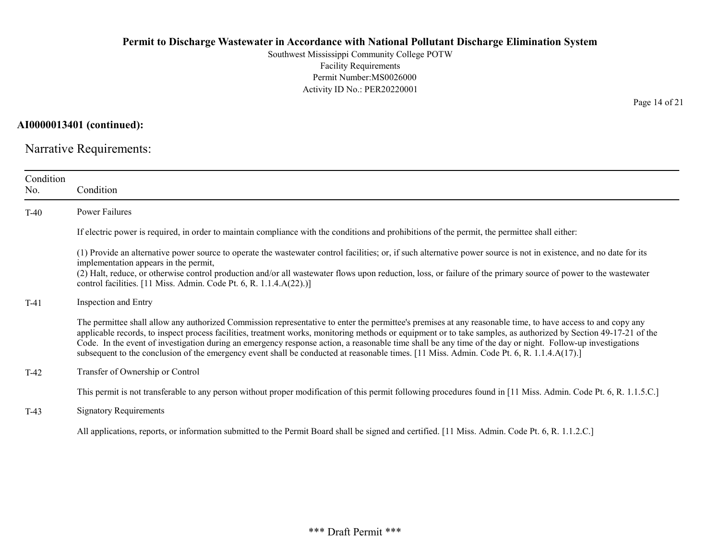Southwest Mississippi Community College POTW Facility Requirements Permit Number:MS0026000 Activity ID No.: PER20220001

AI0000013401 (continued):

Narrative Requirements:

| Condition<br>No. | Condition                                                                                                                                                                                                                                                                                                                                                                                                                                                                                                                                                                                                                                  |
|------------------|--------------------------------------------------------------------------------------------------------------------------------------------------------------------------------------------------------------------------------------------------------------------------------------------------------------------------------------------------------------------------------------------------------------------------------------------------------------------------------------------------------------------------------------------------------------------------------------------------------------------------------------------|
| $T-40$           | Power Failures                                                                                                                                                                                                                                                                                                                                                                                                                                                                                                                                                                                                                             |
|                  | If electric power is required, in order to maintain compliance with the conditions and prohibitions of the permit, the permittee shall either:                                                                                                                                                                                                                                                                                                                                                                                                                                                                                             |
|                  | (1) Provide an alternative power source to operate the wastewater control facilities; or, if such alternative power source is not in existence, and no date for its<br>implementation appears in the permit,<br>(2) Halt, reduce, or otherwise control production and/or all wastewater flows upon reduction, loss, or failure of the primary source of power to the wastewater<br>control facilities. [11 Miss. Admin. Code Pt. 6, R. 1.1.4.A(22).)]                                                                                                                                                                                      |
| $T-41$           | Inspection and Entry                                                                                                                                                                                                                                                                                                                                                                                                                                                                                                                                                                                                                       |
|                  | The permittee shall allow any authorized Commission representative to enter the permittee's premises at any reasonable time, to have access to and copy any<br>applicable records, to inspect process facilities, treatment works, monitoring methods or equipment or to take samples, as authorized by Section 49-17-21 of the<br>Code. In the event of investigation during an emergency response action, a reasonable time shall be any time of the day or night. Follow-up investigations<br>subsequent to the conclusion of the emergency event shall be conducted at reasonable times. [11 Miss. Admin. Code Pt. 6, R. 1.1.4.A(17).] |
| $T-42$           | Transfer of Ownership or Control                                                                                                                                                                                                                                                                                                                                                                                                                                                                                                                                                                                                           |
|                  | This permit is not transferable to any person without proper modification of this permit following procedures found in [11 Miss. Admin. Code Pt. 6, R. 1.1.5.C.]                                                                                                                                                                                                                                                                                                                                                                                                                                                                           |
| $T-43$           | <b>Signatory Requirements</b>                                                                                                                                                                                                                                                                                                                                                                                                                                                                                                                                                                                                              |
|                  | All applications, reports, or information submitted to the Permit Board shall be signed and certified. [11 Miss. Admin. Code Pt. 6, R. 1.1.2.C.]                                                                                                                                                                                                                                                                                                                                                                                                                                                                                           |

Page 14 of 21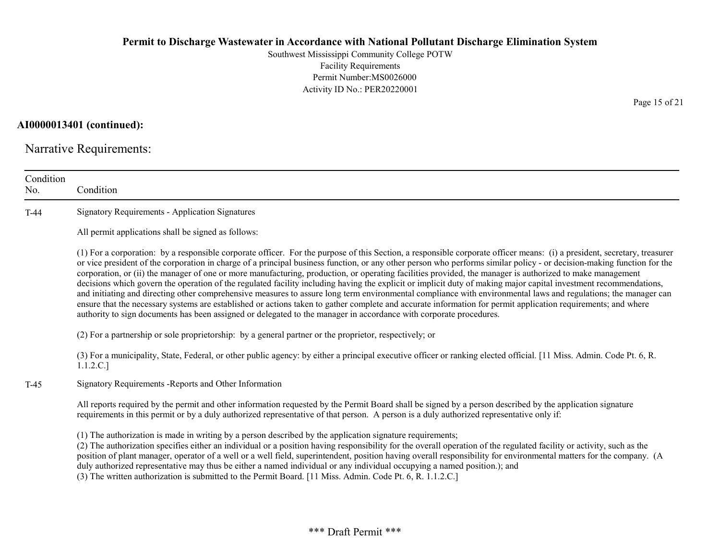Southwest Mississippi Community College POTW Facility Requirements Permit Number:MS0026000 Activity ID No.: PER20220001

AI0000013401 (continued):

Narrative Requirements:

| Condition<br>No. | Condition                                                                                                                                                                                                                                                                                                                                                                                                                                                                                                                                                                                                                                                                                                                                                                                                                                                                                                                                                                                                                                                                                                                                      |
|------------------|------------------------------------------------------------------------------------------------------------------------------------------------------------------------------------------------------------------------------------------------------------------------------------------------------------------------------------------------------------------------------------------------------------------------------------------------------------------------------------------------------------------------------------------------------------------------------------------------------------------------------------------------------------------------------------------------------------------------------------------------------------------------------------------------------------------------------------------------------------------------------------------------------------------------------------------------------------------------------------------------------------------------------------------------------------------------------------------------------------------------------------------------|
| $T-44$           | <b>Signatory Requirements - Application Signatures</b>                                                                                                                                                                                                                                                                                                                                                                                                                                                                                                                                                                                                                                                                                                                                                                                                                                                                                                                                                                                                                                                                                         |
|                  | All permit applications shall be signed as follows:                                                                                                                                                                                                                                                                                                                                                                                                                                                                                                                                                                                                                                                                                                                                                                                                                                                                                                                                                                                                                                                                                            |
|                  | (1) For a corporation: by a responsible corporate officer. For the purpose of this Section, a responsible corporate officer means: (i) a president, secretary, treasurer<br>or vice president of the corporation in charge of a principal business function, or any other person who performs similar policy - or decision-making function for the<br>corporation, or (ii) the manager of one or more manufacturing, production, or operating facilities provided, the manager is authorized to make management<br>decisions which govern the operation of the regulated facility including having the explicit or implicit duty of making major capital investment recommendations,<br>and initiating and directing other comprehensive measures to assure long term environmental compliance with environmental laws and regulations; the manager can<br>ensure that the necessary systems are established or actions taken to gather complete and accurate information for permit application requirements; and where<br>authority to sign documents has been assigned or delegated to the manager in accordance with corporate procedures. |
|                  | (2) For a partnership or sole proprietorship: by a general partner or the proprietor, respectively; or                                                                                                                                                                                                                                                                                                                                                                                                                                                                                                                                                                                                                                                                                                                                                                                                                                                                                                                                                                                                                                         |
|                  | (3) For a municipality, State, Federal, or other public agency: by either a principal executive officer or ranking elected official. [11 Miss. Admin. Code Pt. 6, R.<br>1.1.2.C.]                                                                                                                                                                                                                                                                                                                                                                                                                                                                                                                                                                                                                                                                                                                                                                                                                                                                                                                                                              |
| $T-45$           | Signatory Requirements - Reports and Other Information                                                                                                                                                                                                                                                                                                                                                                                                                                                                                                                                                                                                                                                                                                                                                                                                                                                                                                                                                                                                                                                                                         |
|                  | All reports required by the permit and other information requested by the Permit Board shall be signed by a person described by the application signature<br>requirements in this permit or by a duly authorized representative of that person. A person is a duly authorized representative only if:                                                                                                                                                                                                                                                                                                                                                                                                                                                                                                                                                                                                                                                                                                                                                                                                                                          |
|                  | (1) The authorization is made in writing by a person described by the application signature requirements;<br>(2) The authorization specifies either an individual or a position having responsibility for the overall operation of the regulated facility or activity, such as the<br>position of plant manager, operator of a well or a well field, superintendent, position having overall responsibility for environmental matters for the company. (A<br>duly authorized representative may thus be either a named individual or any individual occupying a named position.); and<br>(3) The written authorization is submitted to the Permit Board. [11 Miss. Admin. Code Pt. 6, R. 1.1.2.C.]                                                                                                                                                                                                                                                                                                                                                                                                                                             |

Page 15 of 21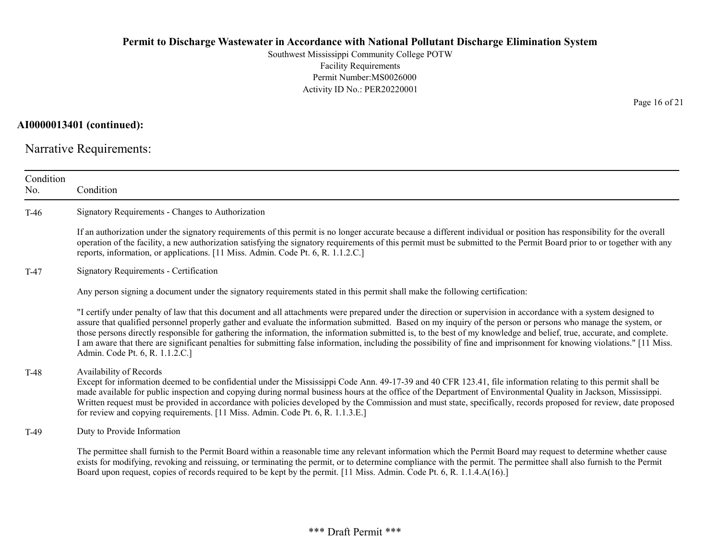Southwest Mississippi Community College POTW Facility Requirements Permit Number:MS0026000 Activity ID No.: PER20220001

AI0000013401 (continued):

Narrative Requirements:

| Condition<br>No. | Condition                                                                                                                                                                                                                                                                                                                                                                                                                                                                                                                                                                                                                                                                                                                |
|------------------|--------------------------------------------------------------------------------------------------------------------------------------------------------------------------------------------------------------------------------------------------------------------------------------------------------------------------------------------------------------------------------------------------------------------------------------------------------------------------------------------------------------------------------------------------------------------------------------------------------------------------------------------------------------------------------------------------------------------------|
| $T-46$           | Signatory Requirements - Changes to Authorization                                                                                                                                                                                                                                                                                                                                                                                                                                                                                                                                                                                                                                                                        |
|                  | If an authorization under the signatory requirements of this permit is no longer accurate because a different individual or position has responsibility for the overall<br>operation of the facility, a new authorization satisfying the signatory requirements of this permit must be submitted to the Permit Board prior to or together with any<br>reports, information, or applications. [11 Miss. Admin. Code Pt. 6, R. 1.1.2.C.]                                                                                                                                                                                                                                                                                   |
| $T-47$           | <b>Signatory Requirements - Certification</b>                                                                                                                                                                                                                                                                                                                                                                                                                                                                                                                                                                                                                                                                            |
|                  | Any person signing a document under the signatory requirements stated in this permit shall make the following certification:                                                                                                                                                                                                                                                                                                                                                                                                                                                                                                                                                                                             |
|                  | "I certify under penalty of law that this document and all attachments were prepared under the direction or supervision in accordance with a system designed to<br>assure that qualified personnel properly gather and evaluate the information submitted. Based on my inquiry of the person or persons who manage the system, or<br>those persons directly responsible for gathering the information, the information submitted is, to the best of my knowledge and belief, true, accurate, and complete.<br>I am aware that there are significant penalties for submitting false information, including the possibility of fine and imprisonment for knowing violations." [11 Miss.<br>Admin. Code Pt. 6, R. 1.1.2.C.] |
| $T-48$           | Availability of Records<br>Except for information deemed to be confidential under the Mississippi Code Ann. 49-17-39 and 40 CFR 123.41, file information relating to this permit shall be<br>made available for public inspection and copying during normal business hours at the office of the Department of Environmental Quality in Jackson, Mississippi.<br>Written request must be provided in accordance with policies developed by the Commission and must state, specifically, records proposed for review, date proposed<br>for review and copying requirements. [11 Miss. Admin. Code Pt. 6, R. 1.1.3.E.]                                                                                                      |
| $T-49$           | Duty to Provide Information                                                                                                                                                                                                                                                                                                                                                                                                                                                                                                                                                                                                                                                                                              |
|                  | The permittee shall furnish to the Permit Board within a reasonable time any relevant information which the Permit Board may request to determine whether cause<br>exists for modifying, revoking and reissuing, or terminating the permit, or to determine compliance with the permit. The permittee shall also furnish to the Permit<br>Board upon request, copies of records required to be kept by the permit. [11 Miss. Admin. Code Pt. 6, R. 1.1.4.A(16).]                                                                                                                                                                                                                                                         |

Page 16 of 21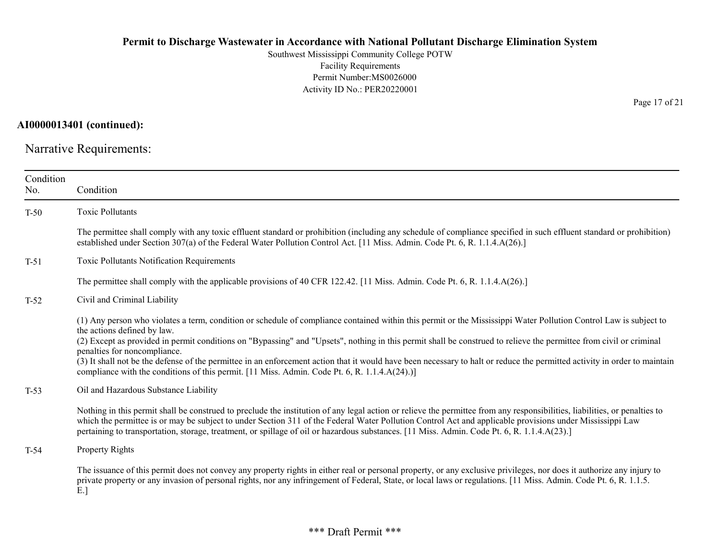Southwest Mississippi Community College POTW Facility Requirements Permit Number:MS0026000 Activity ID No.: PER20220001

AI0000013401 (continued):

Narrative Requirements:

| Condition<br>No. | Condition                                                                                                                                                                                                                                                                                                                                                                                                                                                                                                                                                                                                                                                                            |
|------------------|--------------------------------------------------------------------------------------------------------------------------------------------------------------------------------------------------------------------------------------------------------------------------------------------------------------------------------------------------------------------------------------------------------------------------------------------------------------------------------------------------------------------------------------------------------------------------------------------------------------------------------------------------------------------------------------|
| $T-50$           | Toxic Pollutants                                                                                                                                                                                                                                                                                                                                                                                                                                                                                                                                                                                                                                                                     |
|                  | The permittee shall comply with any toxic effluent standard or prohibition (including any schedule of compliance specified in such effluent standard or prohibition)<br>established under Section 307(a) of the Federal Water Pollution Control Act. [11 Miss. Admin. Code Pt. 6, R. 1.1.4.A(26).]                                                                                                                                                                                                                                                                                                                                                                                   |
| $T-51$           | Toxic Pollutants Notification Requirements                                                                                                                                                                                                                                                                                                                                                                                                                                                                                                                                                                                                                                           |
|                  | The permittee shall comply with the applicable provisions of 40 CFR 122.42. [11 Miss. Admin. Code Pt. 6, R. 1.1.4.A(26).]                                                                                                                                                                                                                                                                                                                                                                                                                                                                                                                                                            |
| $T-52$           | Civil and Criminal Liability                                                                                                                                                                                                                                                                                                                                                                                                                                                                                                                                                                                                                                                         |
|                  | (1) Any person who violates a term, condition or schedule of compliance contained within this permit or the Mississippi Water Pollution Control Law is subject to<br>the actions defined by law.<br>(2) Except as provided in permit conditions on "Bypassing" and "Upsets", nothing in this permit shall be construed to relieve the permittee from civil or criminal<br>penalties for noncompliance.<br>(3) It shall not be the defense of the permittee in an enforcement action that it would have been necessary to halt or reduce the permitted activity in order to maintain<br>compliance with the conditions of this permit. [11 Miss. Admin. Code Pt. 6, R. 1.1.4.A(24).)] |
| $T-53$           | Oil and Hazardous Substance Liability                                                                                                                                                                                                                                                                                                                                                                                                                                                                                                                                                                                                                                                |
|                  | Nothing in this permit shall be construed to preclude the institution of any legal action or relieve the permittee from any responsibilities, liabilities, or penalties to<br>which the permittee is or may be subject to under Section 311 of the Federal Water Pollution Control Act and applicable provisions under Mississippi Law<br>pertaining to transportation, storage, treatment, or spillage of oil or hazardous substances. [11 Miss. Admin. Code Pt. 6, R. 1.1.4.A(23).]                                                                                                                                                                                                |
| $T-54$           | Property Rights                                                                                                                                                                                                                                                                                                                                                                                                                                                                                                                                                                                                                                                                      |
|                  | The issuance of this permit does not convey any property rights in either real or personal property, or any exclusive privileges, nor does it authorize any injury to<br>private property or any invasion of personal rights, nor any infringement of Federal, State, or local laws or regulations. [11 Miss. Admin. Code Pt. 6, R. 1.1.5.<br>E.                                                                                                                                                                                                                                                                                                                                     |

Page 17 of 21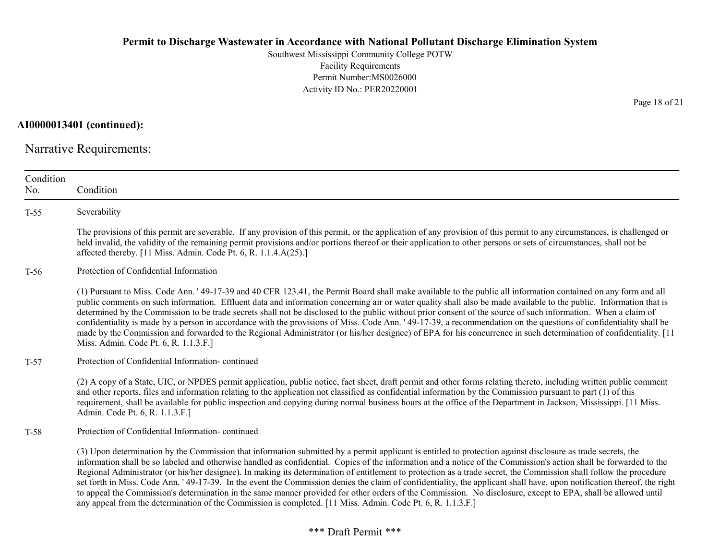Southwest Mississippi Community College POTW Facility Requirements Permit Number:MS0026000 Activity ID No.: PER20220001

AI0000013401 (continued):

Narrative Requirements:

| Condition<br>No. | Condition                                                                                                                                                                                                                                                                                                                                                                                                                                                                                                                                                                                                                                                                                                                                                                                                                                                                                                                                                             |
|------------------|-----------------------------------------------------------------------------------------------------------------------------------------------------------------------------------------------------------------------------------------------------------------------------------------------------------------------------------------------------------------------------------------------------------------------------------------------------------------------------------------------------------------------------------------------------------------------------------------------------------------------------------------------------------------------------------------------------------------------------------------------------------------------------------------------------------------------------------------------------------------------------------------------------------------------------------------------------------------------|
| $T-55$           | Severability                                                                                                                                                                                                                                                                                                                                                                                                                                                                                                                                                                                                                                                                                                                                                                                                                                                                                                                                                          |
|                  | The provisions of this permit are severable. If any provision of this permit, or the application of any provision of this permit to any circumstances, is challenged or<br>held invalid, the validity of the remaining permit provisions and/or portions thereof or their application to other persons or sets of circumstances, shall not be<br>affected thereby. [11 Miss. Admin. Code Pt. 6, R. 1.1.4.A(25).]                                                                                                                                                                                                                                                                                                                                                                                                                                                                                                                                                      |
| $T-56$           | Protection of Confidential Information                                                                                                                                                                                                                                                                                                                                                                                                                                                                                                                                                                                                                                                                                                                                                                                                                                                                                                                                |
|                  | (1) Pursuant to Miss. Code Ann. '49-17-39 and 40 CFR 123.41, the Permit Board shall make available to the public all information contained on any form and all<br>public comments on such information. Effluent data and information concerning air or water quality shall also be made available to the public. Information that is<br>determined by the Commission to be trade secrets shall not be disclosed to the public without prior consent of the source of such information. When a claim of<br>confidentiality is made by a person in accordance with the provisions of Miss. Code Ann. '49-17-39, a recommendation on the questions of confidentiality shall be<br>made by the Commission and forwarded to the Regional Administrator (or his/her designee) of EPA for his concurrence in such determination of confidentiality. [11]<br>Miss. Admin. Code Pt. 6, R. 1.1.3.F.]                                                                            |
| $T-57$           | Protection of Confidential Information-continued                                                                                                                                                                                                                                                                                                                                                                                                                                                                                                                                                                                                                                                                                                                                                                                                                                                                                                                      |
|                  | (2) A copy of a State, UIC, or NPDES permit application, public notice, fact sheet, draft permit and other forms relating thereto, including written public comment<br>and other reports, files and information relating to the application not classified as confidential information by the Commission pursuant to part (1) of this<br>requirement, shall be available for public inspection and copying during normal business hours at the office of the Department in Jackson, Mississippi. [11 Miss.<br>Admin. Code Pt. 6, R. 1.1.3.F.]                                                                                                                                                                                                                                                                                                                                                                                                                         |
| $T-58$           | Protection of Confidential Information-continued                                                                                                                                                                                                                                                                                                                                                                                                                                                                                                                                                                                                                                                                                                                                                                                                                                                                                                                      |
|                  | (3) Upon determination by the Commission that information submitted by a permit applicant is entitled to protection against disclosure as trade secrets, the<br>information shall be so labeled and otherwise handled as confidential. Copies of the information and a notice of the Commission's action shall be forwarded to the<br>Regional Administrator (or his/her designee). In making its determination of entitlement to protection as a trade secret, the Commission shall follow the procedure<br>set forth in Miss. Code Ann. ' 49-17-39. In the event the Commission denies the claim of confidentiality, the applicant shall have, upon notification thereof, the right<br>to appeal the Commission's determination in the same manner provided for other orders of the Commission. No disclosure, except to EPA, shall be allowed until<br>any appeal from the determination of the Commission is completed. [11 Miss. Admin. Code Pt. 6, R. 1.1.3.F.] |

Page 18 of 21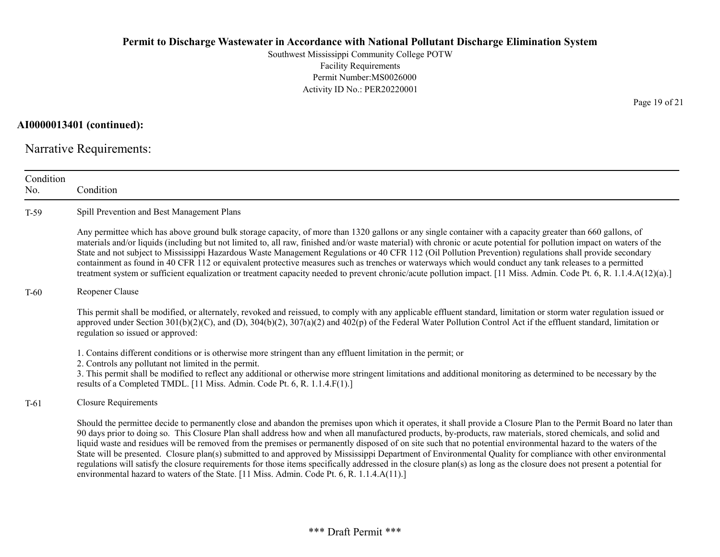Southwest Mississippi Community College POTW Facility Requirements Permit Number:MS0026000 Activity ID No.: PER20220001

AI0000013401 (continued):

Narrative Requirements:

| Condition<br>No. | Condition                                                                                                                                                                                                                                                                                                                                                                                                                                                                                                                                                                                                                                                                                                                                                                                                                                                                                                                                          |
|------------------|----------------------------------------------------------------------------------------------------------------------------------------------------------------------------------------------------------------------------------------------------------------------------------------------------------------------------------------------------------------------------------------------------------------------------------------------------------------------------------------------------------------------------------------------------------------------------------------------------------------------------------------------------------------------------------------------------------------------------------------------------------------------------------------------------------------------------------------------------------------------------------------------------------------------------------------------------|
| $T-59$           | Spill Prevention and Best Management Plans                                                                                                                                                                                                                                                                                                                                                                                                                                                                                                                                                                                                                                                                                                                                                                                                                                                                                                         |
|                  | Any permittee which has above ground bulk storage capacity, of more than 1320 gallons or any single container with a capacity greater than 660 gallons, of<br>materials and/or liquids (including but not limited to, all raw, finished and/or waste material) with chronic or acute potential for pollution impact on waters of the<br>State and not subject to Mississippi Hazardous Waste Management Regulations or 40 CFR 112 (Oil Pollution Prevention) regulations shall provide secondary<br>containment as found in 40 CFR 112 or equivalent protective measures such as trenches or waterways which would conduct any tank releases to a permitted<br>treatment system or sufficient equalization or treatment capacity needed to prevent chronic/acute pollution impact. [11 Miss. Admin. Code Pt. 6, R. 1.1.4.A(12)(a).]                                                                                                                |
| $T-60$           | Reopener Clause                                                                                                                                                                                                                                                                                                                                                                                                                                                                                                                                                                                                                                                                                                                                                                                                                                                                                                                                    |
|                  | This permit shall be modified, or alternately, revoked and reissued, to comply with any applicable effluent standard, limitation or storm water regulation issued or<br>approved under Section $301(b)(2)(C)$ , and (D), $304(b)(2)$ , $307(a)(2)$ and $402(p)$ of the Federal Water Pollution Control Act if the effluent standard, limitation or<br>regulation so issued or approved:                                                                                                                                                                                                                                                                                                                                                                                                                                                                                                                                                            |
|                  | 1. Contains different conditions or is otherwise more stringent than any effluent limitation in the permit; or<br>2. Controls any pollutant not limited in the permit.<br>3. This permit shall be modified to reflect any additional or otherwise more stringent limitations and additional monitoring as determined to be necessary by the<br>results of a Completed TMDL. [11 Miss. Admin. Code Pt. 6, R. 1.1.4.F(1).]                                                                                                                                                                                                                                                                                                                                                                                                                                                                                                                           |
| $T-61$           | <b>Closure Requirements</b>                                                                                                                                                                                                                                                                                                                                                                                                                                                                                                                                                                                                                                                                                                                                                                                                                                                                                                                        |
|                  | Should the permittee decide to permanently close and abandon the premises upon which it operates, it shall provide a Closure Plan to the Permit Board no later than<br>90 days prior to doing so. This Closure Plan shall address how and when all manufactured products, by-products, raw materials, stored chemicals, and solid and<br>liquid waste and residues will be removed from the premises or permanently disposed of on site such that no potential environmental hazard to the waters of the<br>State will be presented. Closure plan(s) submitted to and approved by Mississippi Department of Environmental Quality for compliance with other environmental<br>regulations will satisfy the closure requirements for those items specifically addressed in the closure plan(s) as long as the closure does not present a potential for<br>environmental hazard to waters of the State. [11 Miss. Admin. Code Pt. 6, R. 1.1.4.A(11).] |

Page 19 of 21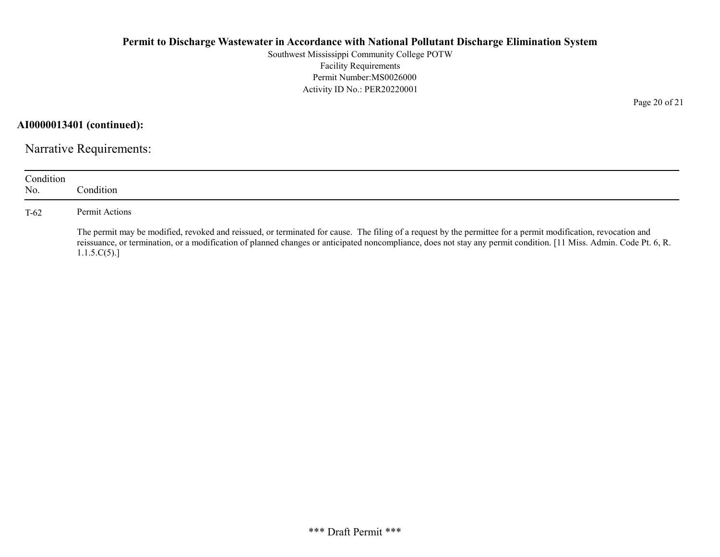Southwest Mississippi Community College POTW Facility Requirements Permit Number:MS0026000 Activity ID No.: PER20220001

AI0000013401 (continued):

Narrative Requirements:

| Condition<br>No. | Condition.                                                                                                                                                                                                                                                                                                                                         |
|------------------|----------------------------------------------------------------------------------------------------------------------------------------------------------------------------------------------------------------------------------------------------------------------------------------------------------------------------------------------------|
| $T-62$           | Permit Actions                                                                                                                                                                                                                                                                                                                                     |
|                  | The permit may be modified, revoked and reissued, or terminated for cause. The filing of a request by the permittee for a permit modification, revocation and<br>reissuance, or termination, or a modification of planned changes or anticipated noncompliance, does not stay any permit condition. [11 Miss. Admin. Code Pt. 6, R.<br>1.1.5.C(5). |

Page 20 of 21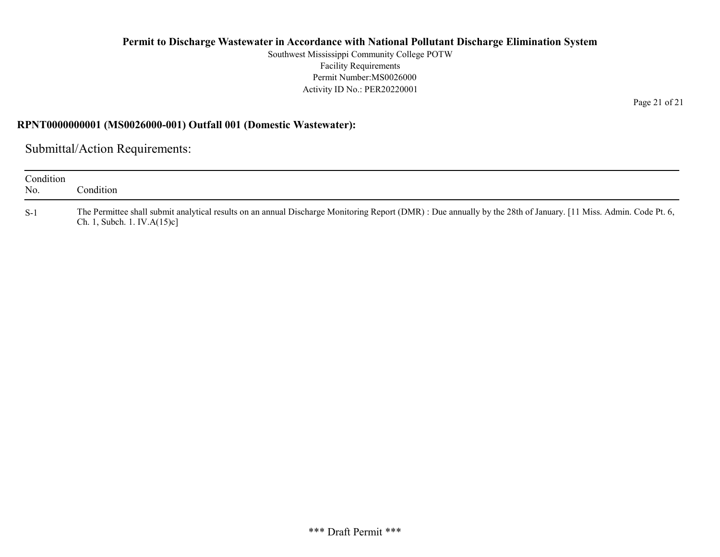Southwest Mississippi Community College POTW Facility Requirements Permit Number:MS0026000 Activity ID No.: PER20220001

RPNT0000000001 (MS0026000-001) Outfall 001 (Domestic Wastewater):

Submittal/Action Requirements:

| Condition<br>No. | Condition                                                                                                                                                                                           |
|------------------|-----------------------------------------------------------------------------------------------------------------------------------------------------------------------------------------------------|
| $S-1$            | The Permittee shall submit analytical results on an annual Discharge Monitoring Report (DMR) : Due annually by the 28th of January. [11 Miss. Admin. Code Pt. 6,<br>Ch. 1, Subch. 1. IV. $A(15)c$ ] |

Page 21 of 21